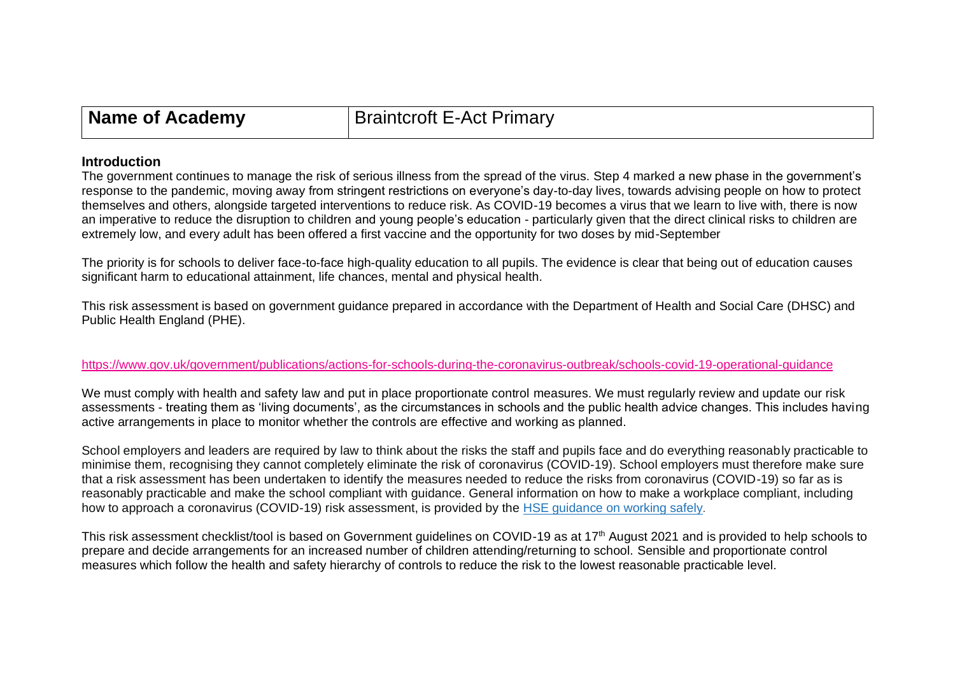| Name of Academy<br><b>Braintcroft E-Act Primary</b> |  |
|-----------------------------------------------------|--|
|-----------------------------------------------------|--|

#### **Introduction**

The government continues to manage the risk of serious illness from the spread of the virus. Step 4 marked a new phase in the government's response to the pandemic, moving away from stringent restrictions on everyone's day-to-day lives, towards advising people on how to protect themselves and others, alongside targeted interventions to reduce risk. As COVID-19 becomes a virus that we learn to live with, there is now an imperative to reduce the disruption to children and young people's education - particularly given that the direct clinical risks to children are extremely low, and every adult has been offered a first vaccine and the opportunity for two doses by mid-September

The priority is for schools to deliver face-to-face high-quality education to all pupils. The evidence is clear that being out of education causes significant harm to educational attainment, life chances, mental and physical health.

This risk assessment is based on government guidance prepared in accordance with the Department of Health and Social Care (DHSC) and Public Health England (PHE).

#### <https://www.gov.uk/government/publications/actions-for-schools-during-the-coronavirus-outbreak/schools-covid-19-operational-guidance>

We must comply with health and safety law and put in place proportionate control measures. We must regularly review and update our risk assessments - treating them as 'living documents', as the circumstances in schools and the public health advice changes. This includes having active arrangements in place to monitor whether the controls are effective and working as planned.

School employers and leaders are required by law to think about the risks the staff and pupils face and do everything reasonably practicable to minimise them, recognising they cannot completely eliminate the risk of coronavirus (COVID-19). School employers must therefore make sure that a risk assessment has been undertaken to identify the measures needed to reduce the risks from coronavirus (COVID-19) so far as is reasonably practicable and make the school compliant with guidance. General information on how to make a workplace compliant, including how to approach a coronavirus (COVID-19) risk assessment, is provided by the HSE [guidance](https://www.hse.gov.uk/coronavirus/working-safely/index.htm) on working safely.

This risk assessment checklist/tool is based on Government guidelines on COVID-19 as at 17th August 2021 and is provided to help schools to prepare and decide arrangements for an increased number of children attending/returning to school. Sensible and proportionate control measures which follow the health and safety hierarchy of controls to reduce the risk to the lowest reasonable practicable level.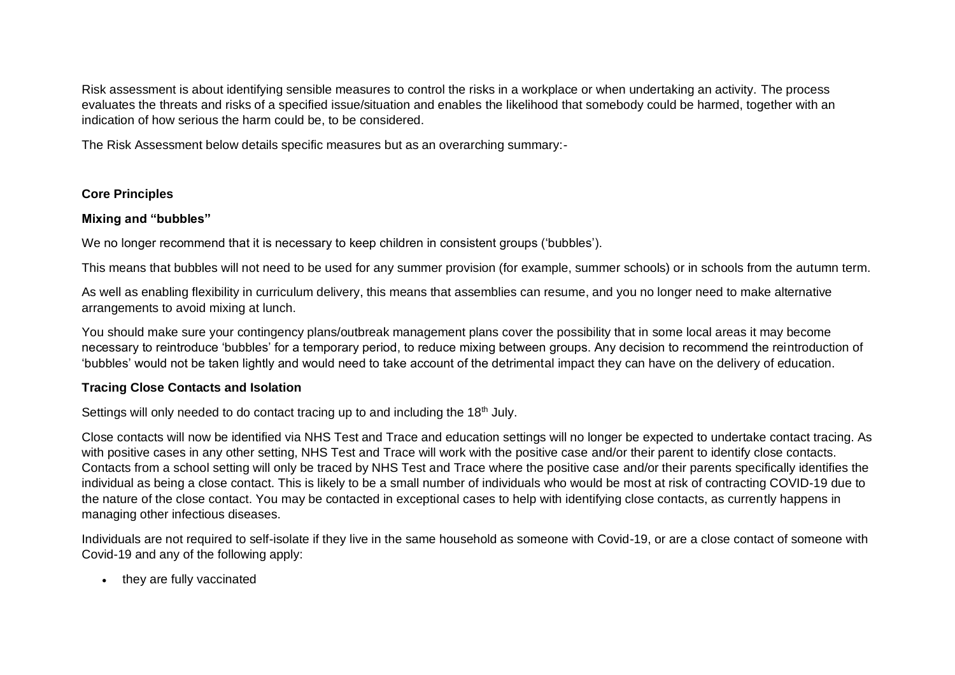Risk assessment is about identifying sensible measures to control the risks in a workplace or when undertaking an activity. The process evaluates the threats and risks of a specified issue/situation and enables the likelihood that somebody could be harmed, together with an indication of how serious the harm could be, to be considered.

The Risk Assessment below details specific measures but as an overarching summary:-

## **Core Principles**

## **Mixing and "bubbles"**

We no longer recommend that it is necessary to keep children in consistent groups ('bubbles').

This means that bubbles will not need to be used for any summer provision (for example, summer schools) or in schools from the autumn term.

As well as enabling flexibility in curriculum delivery, this means that assemblies can resume, and you no longer need to make alternative arrangements to avoid mixing at lunch.

You should make sure your contingency plans/outbreak management plans cover the possibility that in some local areas it may become necessary to reintroduce 'bubbles' for a temporary period, to reduce mixing between groups. Any decision to recommend the reintroduction of 'bubbles' would not be taken lightly and would need to take account of the detrimental impact they can have on the delivery of education.

# **Tracing Close Contacts and Isolation**

Settings will only needed to do contact tracing up to and including the 18<sup>th</sup> July.

Close contacts will now be identified via NHS Test and Trace and education settings will no longer be expected to undertake contact tracing. As with positive cases in any other setting, NHS Test and Trace will work with the positive case and/or their parent to identify close contacts. Contacts from a school setting will only be traced by NHS Test and Trace where the positive case and/or their parents specifically identifies the individual as being a close contact. This is likely to be a small number of individuals who would be most at risk of contracting COVID-19 due to the nature of the close contact. You may be contacted in exceptional cases to help with identifying close contacts, as currently happens in managing other infectious diseases.

Individuals are not required to self-isolate if they live in the same household as someone with Covid-19, or are a close contact of someone with Covid-19 and any of the following apply:

• they are fully vaccinated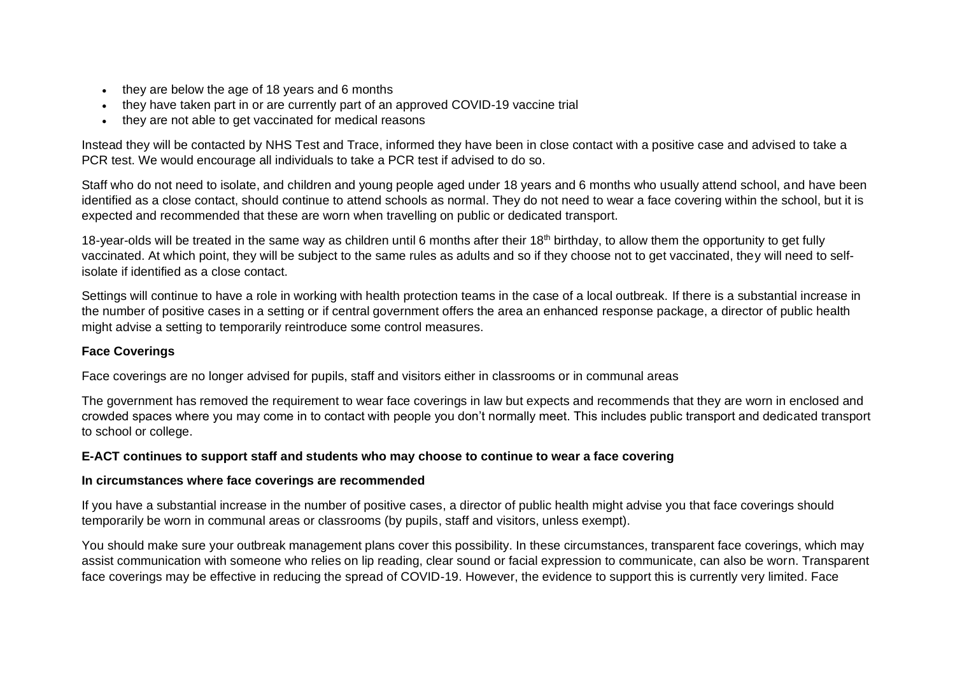- they are below the age of 18 years and 6 months
- they have taken part in or are currently part of an approved COVID-19 vaccine trial
- they are not able to get vaccinated for medical reasons

Instead they will be contacted by NHS Test and Trace, informed they have been in close contact with a positive case and advised to take a PCR test. We would encourage all individuals to take a PCR test if advised to do so.

Staff who do not need to isolate, and children and young people aged under 18 years and 6 months who usually attend school, and have been identified as a close contact, should continue to attend schools as normal. They do not need to wear a face covering within the school, but it is expected and recommended that these are worn when travelling on public or dedicated transport.

18-year-olds will be treated in the same way as children until 6 months after their 18<sup>th</sup> birthday, to allow them the opportunity to get fully vaccinated. At which point, they will be subject to the same rules as adults and so if they choose not to get vaccinated, they will need to selfisolate if identified as a close contact.

Settings will continue to have a role in working with health protection teams in the case of a local outbreak. If there is a substantial increase in the number of positive cases in a setting or if central government offers the area an enhanced response package, a director of public health might advise a setting to temporarily reintroduce some control measures.

## **Face Coverings**

Face coverings are no longer advised for pupils, staff and visitors either in classrooms or in communal areas

The government has removed the requirement to wear face coverings in law but expects and recommends that they are worn in enclosed and crowded spaces where you may come in to contact with people you don't normally meet. This includes public transport and dedicated transport to school or college.

## **E-ACT continues to support staff and students who may choose to continue to wear a face covering**

## **In circumstances where face coverings are recommended**

If you have a substantial increase in the number of positive cases, a director of public health might advise you that face coverings should temporarily be worn in communal areas or classrooms (by pupils, staff and visitors, unless exempt).

You should make sure your outbreak management plans cover this possibility. In these circumstances, transparent face coverings, which may assist communication with someone who relies on lip reading, clear sound or facial expression to communicate, can also be worn. Transparent face coverings may be effective in reducing the spread of COVID-19. However, the evidence to support this is currently very limited. Face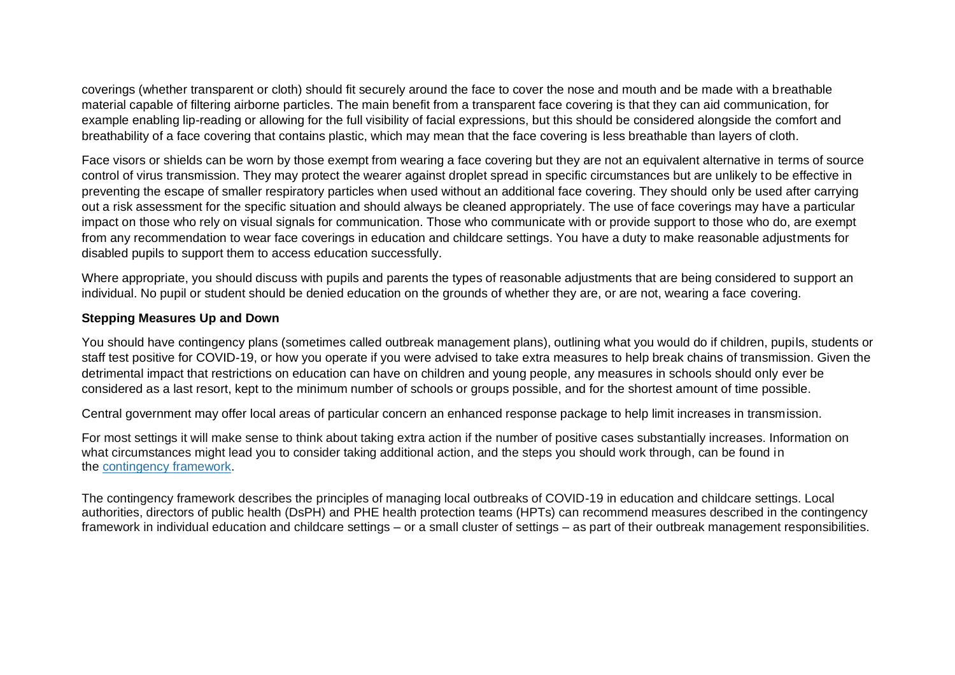coverings (whether transparent or cloth) should fit securely around the face to cover the nose and mouth and be made with a breathable material capable of filtering airborne particles. The main benefit from a transparent face covering is that they can aid communication, for example enabling lip-reading or allowing for the full visibility of facial expressions, but this should be considered alongside the comfort and breathability of a face covering that contains plastic, which may mean that the face covering is less breathable than layers of cloth.

Face visors or shields can be worn by those exempt from wearing a face covering but they are not an equivalent alternative in terms of source control of virus transmission. They may protect the wearer against droplet spread in specific circumstances but are unlikely to be effective in preventing the escape of smaller respiratory particles when used without an additional face covering. They should only be used after carrying out a risk assessment for the specific situation and should always be cleaned appropriately. The use of face coverings may have a particular impact on those who rely on visual signals for communication. Those who communicate with or provide support to those who do, are exempt from any recommendation to wear face coverings in education and childcare settings. You have a duty to make reasonable adjustments for disabled pupils to support them to access education successfully.

Where appropriate, you should discuss with pupils and parents the types of reasonable adjustments that are being considered to support an individual. No pupil or student should be denied education on the grounds of whether they are, or are not, wearing a face covering.

#### **Stepping Measures Up and Down**

You should have contingency plans (sometimes called outbreak management plans), outlining what you would do if children, pupils, students or staff test positive for COVID-19, or how you operate if you were advised to take extra measures to help break chains of transmission. Given the detrimental impact that restrictions on education can have on children and young people, any measures in schools should only ever be considered as a last resort, kept to the minimum number of schools or groups possible, and for the shortest amount of time possible.

Central government may offer local areas of particular concern an enhanced response package to help limit increases in transmission.

For most settings it will make sense to think about taking extra action if the number of positive cases substantially increases. Information on what circumstances might lead you to consider taking additional action, and the steps you should work through, can be found in the [contingency](https://www.gov.uk/government/publications/coronavirus-covid-19-local-restrictions-in-education-and-childcare-settings/contingency-framework-education-and-childcare-settings) framework.

The contingency framework describes the principles of managing local outbreaks of COVID-19 in education and childcare settings. Local authorities, directors of public health (DsPH) and PHE health protection teams (HPTs) can recommend measures described in the contingency framework in individual education and childcare settings – or a small cluster of settings – as part of their outbreak management responsibilities.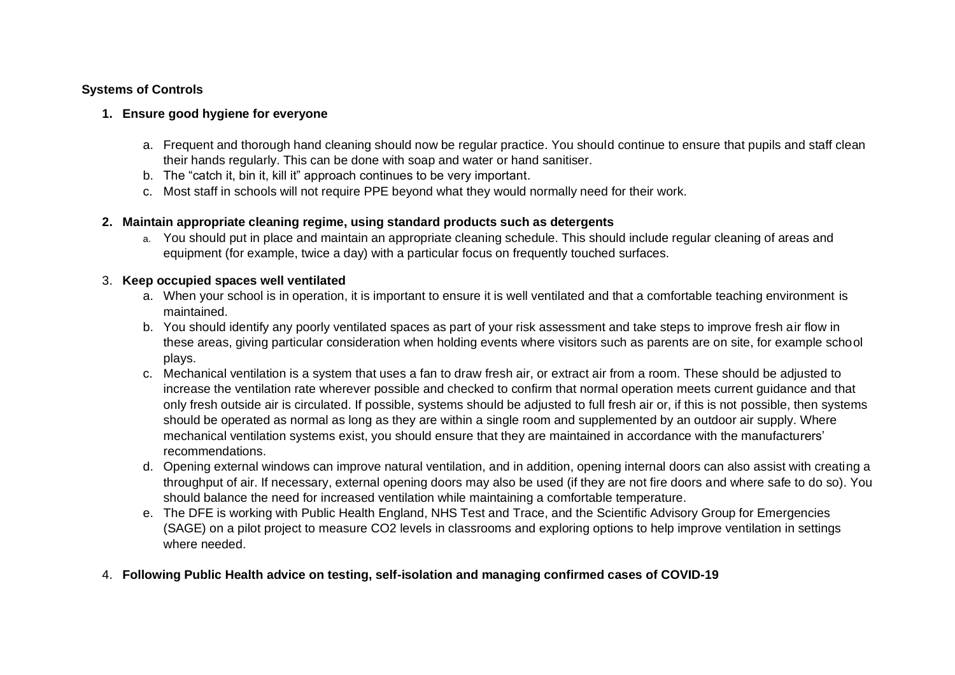### **Systems of Controls**

### **1. Ensure good hygiene for everyone**

- a. Frequent and thorough hand cleaning should now be regular practice. You should continue to ensure that pupils and staff clean their hands regularly. This can be done with soap and water or hand sanitiser.
- b. The "catch it, bin it, kill it" approach continues to be very important.
- c. Most staff in schools will not require PPE beyond what they would normally need for their work.

### **2. Maintain appropriate cleaning regime, using standard products such as detergents**

a. You should put in place and maintain an appropriate cleaning schedule. This should include regular cleaning of areas and equipment (for example, twice a day) with a particular focus on frequently touched surfaces.

### 3. **Keep occupied spaces well ventilated**

- a. When your school is in operation, it is important to ensure it is well ventilated and that a comfortable teaching environment is maintained.
- b. You should identify any poorly ventilated spaces as part of your risk assessment and take steps to improve fresh air flow in these areas, giving particular consideration when holding events where visitors such as parents are on site, for example school plays.
- c. Mechanical ventilation is a system that uses a fan to draw fresh air, or extract air from a room. These should be adjusted to increase the ventilation rate wherever possible and checked to confirm that normal operation meets current guidance and that only fresh outside air is circulated. If possible, systems should be adjusted to full fresh air or, if this is not possible, then systems should be operated as normal as long as they are within a single room and supplemented by an outdoor air supply. Where mechanical ventilation systems exist, you should ensure that they are maintained in accordance with the manufacturers' recommendations.
- d. Opening external windows can improve natural ventilation, and in addition, opening internal doors can also assist with creating a throughput of air. If necessary, external opening doors may also be used (if they are not fire doors and where safe to do so). You should balance the need for increased ventilation while maintaining a comfortable temperature.
- e. The DFE is working with Public Health England, NHS Test and Trace, and the Scientific Advisory Group for Emergencies (SAGE) on a pilot project to measure CO2 levels in classrooms and exploring options to help improve ventilation in settings where needed.
- 4. **Following Public Health advice on testing, self-isolation and managing confirmed cases of COVID-19**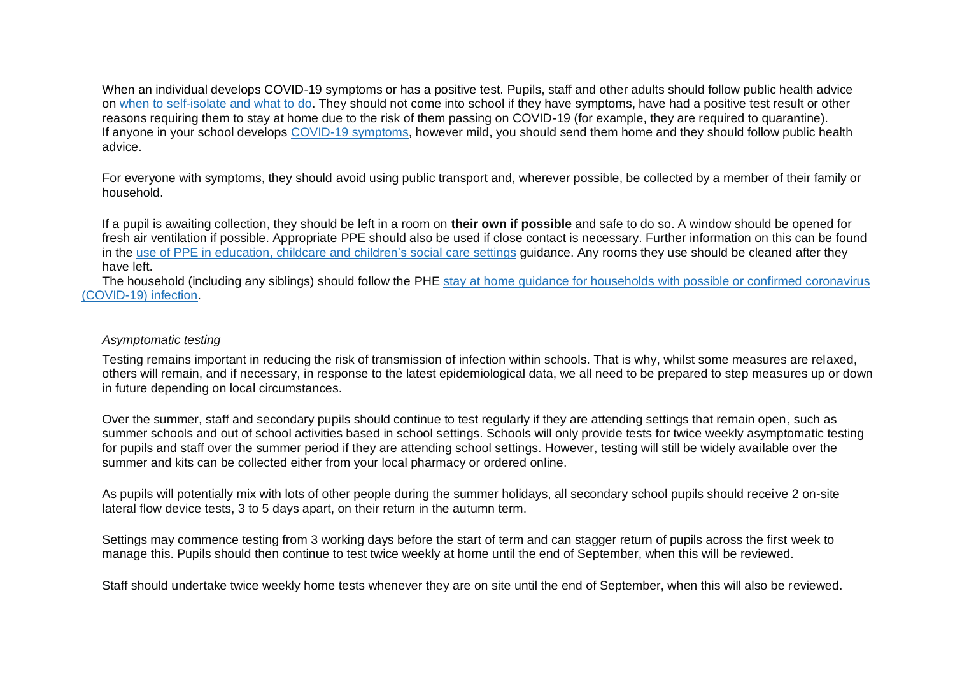When an individual develops COVID-19 symptoms or has a positive test. Pupils, staff and other adults should follow public health advice on when to [self-isolate](https://www.nhs.uk/conditions/coronavirus-covid-19/self-isolation-and-treatment/when-to-self-isolate-and-what-to-do/) and what to do. They should not come into school if they have symptoms, have had a positive test result or other reasons requiring them to stay at home due to the risk of them passing on COVID-19 (for example, they are required to quarantine). If anyone in your school develops COVID-19 [symptoms,](https://www.nhs.uk/conditions/coronavirus-covid-19/symptoms/) however mild, you should send them home and they should follow public health advice.

For everyone with symptoms, they should avoid using public transport and, wherever possible, be collected by a member of their family or household.

If a pupil is awaiting collection, they should be left in a room on **their own if possible** and safe to do so. A window should be opened for fresh air ventilation if possible. Appropriate PPE should also be used if close contact is necessary. Further information on this can be found in the use of PPE in [education,](https://www.gov.uk/government/publications/safe-working-in-education-childcare-and-childrens-social-care) childcare and children's social care settings guidance. Any rooms they use should be cleaned after they have left.

The household (including any siblings) should follow the PHE stay at home guidance for households with possible or confirmed [coronavirus](https://www.gov.uk/government/publications/covid-19-stay-at-home-guidance/stay-at-home-guidance-for-households-with-possible-coronavirus-covid-19-infection) [\(COVID-19\)](https://www.gov.uk/government/publications/covid-19-stay-at-home-guidance/stay-at-home-guidance-for-households-with-possible-coronavirus-covid-19-infection) infection.

#### *Asymptomatic testing*

Testing remains important in reducing the risk of transmission of infection within schools. That is why, whilst some measures are relaxed, others will remain, and if necessary, in response to the latest epidemiological data, we all need to be prepared to step measures up or down in future depending on local circumstances.

Over the summer, staff and secondary pupils should continue to test regularly if they are attending settings that remain open, such as summer schools and out of school activities based in school settings. Schools will only provide tests for twice weekly asymptomatic testing for pupils and staff over the summer period if they are attending school settings. However, testing will still be widely available over the summer and kits can be collected either from your local pharmacy or ordered online.

As pupils will potentially mix with lots of other people during the summer holidays, all secondary school pupils should receive 2 on-site lateral flow device tests, 3 to 5 days apart, on their return in the autumn term.

Settings may commence testing from 3 working days before the start of term and can stagger return of pupils across the first week to manage this. Pupils should then continue to test twice weekly at home until the end of September, when this will be reviewed.

Staff should undertake twice weekly home tests whenever they are on site until the end of September, when this will also be reviewed.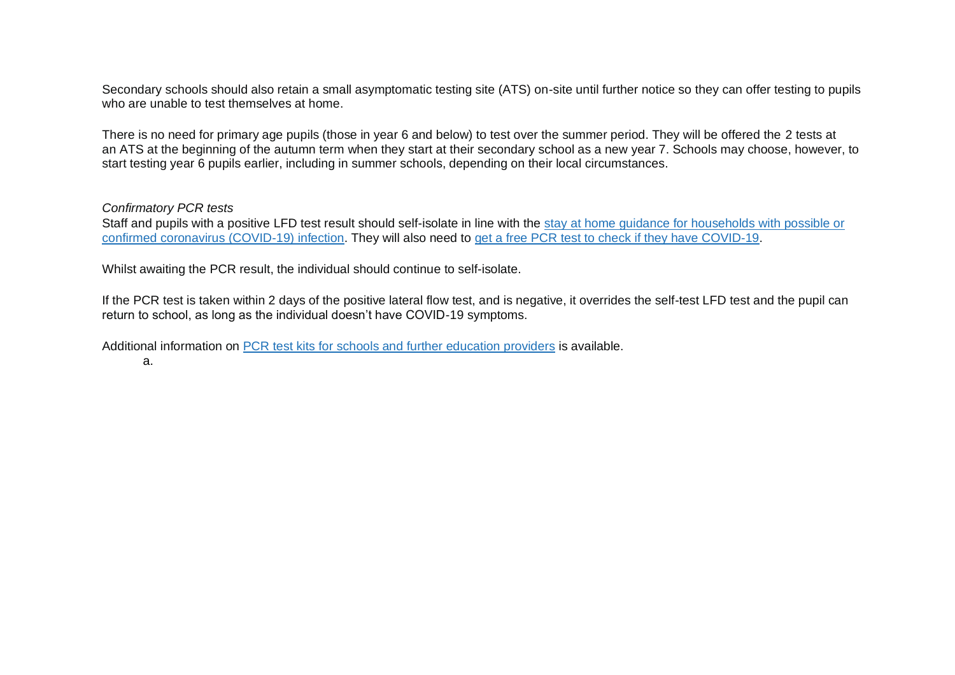Secondary schools should also retain a small asymptomatic testing site (ATS) on-site until further notice so they can offer testing to pupils who are unable to test themselves at home.

There is no need for primary age pupils (those in year 6 and below) to test over the summer period. They will be offered the 2 tests at an ATS at the beginning of the autumn term when they start at their secondary school as a new year 7. Schools may choose, however, to start testing year 6 pupils earlier, including in summer schools, depending on their local circumstances.

#### *Confirmatory PCR tests*

Staff and pupils with a positive LFD test result should self-isolate in line with the stay at home guidance for [households](https://www.gov.uk/government/publications/covid-19-stay-at-home-guidance/stay-at-home-guidance-for-households-with-possible-coronavirus-covid-19-infection) with possible or confirmed coronavirus [\(COVID-19\)](https://www.gov.uk/government/publications/covid-19-stay-at-home-guidance/stay-at-home-guidance-for-households-with-possible-coronavirus-covid-19-infection) infection. They will also need to get a free PCR test to check if they have [COVID-19.](https://www.gov.uk/get-coronavirus-test)

Whilst awaiting the PCR result, the individual should continue to self-isolate.

If the PCR test is taken within 2 days of the positive lateral flow test, and is negative, it overrides the self-test LFD test and the pupil can return to school, as long as the individual doesn't have COVID-19 symptoms.

Additional information on PCR test kits for schools and further [education](https://www.gov.uk/government/publications/coronavirus-covid-19-home-test-kits-for-schools-and-fe-providers/coronavirus-covid-19-home-test-kits-for-schools-and-fe-providers) providers is available.

a.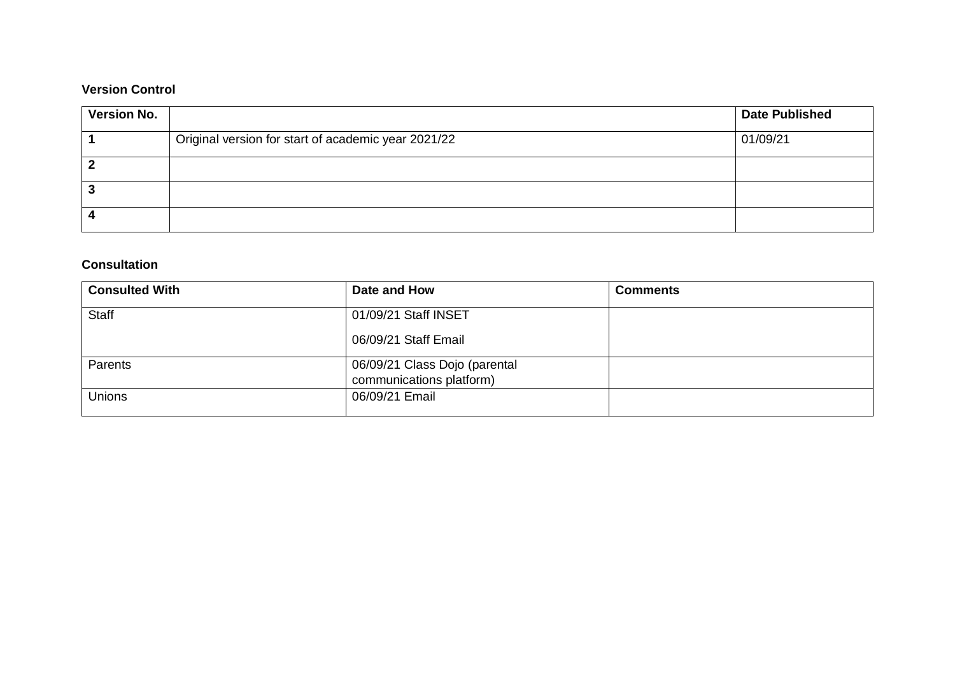# **Version Control**

| <b>Version No.</b> |                                                     | <b>Date Published</b> |
|--------------------|-----------------------------------------------------|-----------------------|
|                    | Original version for start of academic year 2021/22 | 01/09/21              |
|                    |                                                     |                       |
|                    |                                                     |                       |
|                    |                                                     |                       |

## **Consultation**

| <b>Consulted With</b> | Date and How                  | <b>Comments</b> |
|-----------------------|-------------------------------|-----------------|
| Staff                 | 01/09/21 Staff INSET          |                 |
|                       | 06/09/21 Staff Email          |                 |
| Parents               | 06/09/21 Class Dojo (parental |                 |
|                       | communications platform)      |                 |
| <b>Unions</b>         | 06/09/21 Email                |                 |
|                       |                               |                 |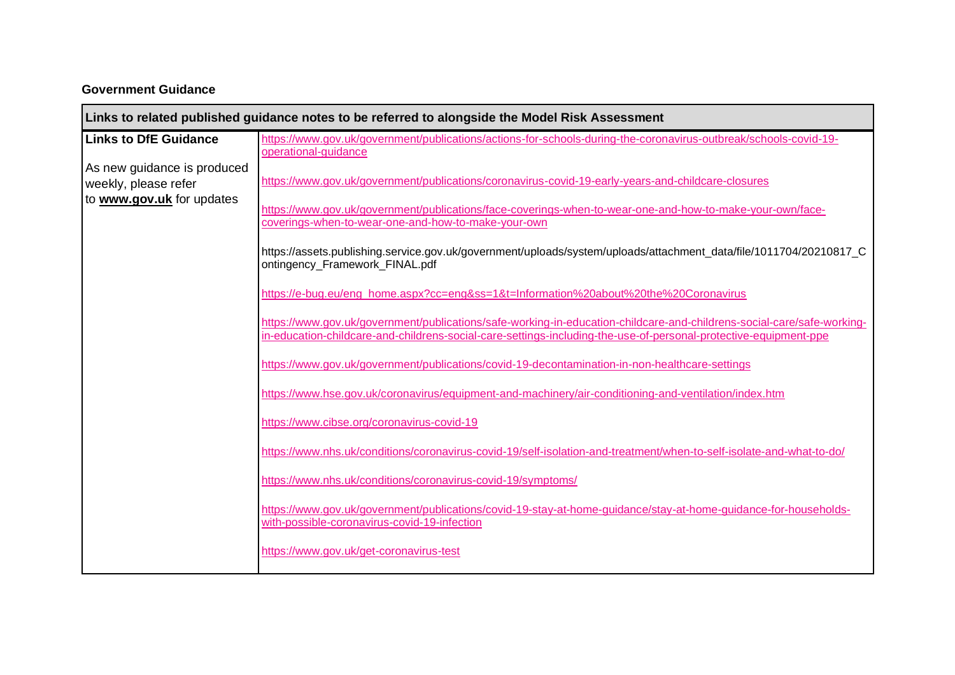# **Government Guidance**

|                                                                                  | Links to related published guidance notes to be referred to alongside the Model Risk Assessment                                                                                                                                            |
|----------------------------------------------------------------------------------|--------------------------------------------------------------------------------------------------------------------------------------------------------------------------------------------------------------------------------------------|
| <b>Links to DfE Guidance</b>                                                     | https://www.gov.uk/government/publications/actions-for-schools-during-the-coronavirus-outbreak/schools-covid-19-<br>operational-guidance                                                                                                   |
| As new guidance is produced<br>weekly, please refer<br>to www.gov.uk for updates | https://www.gov.uk/government/publications/coronavirus-covid-19-early-years-and-childcare-closures                                                                                                                                         |
|                                                                                  | https://www.gov.uk/government/publications/face-coverings-when-to-wear-one-and-how-to-make-your-own/face-<br>coverings-when-to-wear-one-and-how-to-make-your-own                                                                           |
|                                                                                  | https://assets.publishing.service.gov.uk/government/uploads/system/uploads/attachment_data/file/1011704/20210817_C<br>ontingency_Framework_FINAL.pdf                                                                                       |
|                                                                                  | https://e-bug.eu/eng_home.aspx?cc=eng&ss=1&t=Information%20about%20the%20Coronavirus                                                                                                                                                       |
|                                                                                  | https://www.gov.uk/government/publications/safe-working-in-education-childcare-and-childrens-social-care/safe-working-<br>in-education-childcare-and-childrens-social-care-settings-including-the-use-of-personal-protective-equipment-ppe |
|                                                                                  | https://www.gov.uk/government/publications/covid-19-decontamination-in-non-healthcare-settings                                                                                                                                             |
|                                                                                  | https://www.hse.gov.uk/coronavirus/equipment-and-machinery/air-conditioning-and-ventilation/index.htm                                                                                                                                      |
|                                                                                  | https://www.cibse.org/coronavirus-covid-19                                                                                                                                                                                                 |
|                                                                                  | https://www.nhs.uk/conditions/coronavirus-covid-19/self-isolation-and-treatment/when-to-self-isolate-and-what-to-do/                                                                                                                       |
|                                                                                  | https://www.nhs.uk/conditions/coronavirus-covid-19/symptoms/                                                                                                                                                                               |
|                                                                                  | https://www.gov.uk/government/publications/covid-19-stay-at-home-guidance/stay-at-home-guidance-for-households-<br>with-possible-coronavirus-covid-19-infection                                                                            |
|                                                                                  | https://www.gov.uk/get-coronavirus-test                                                                                                                                                                                                    |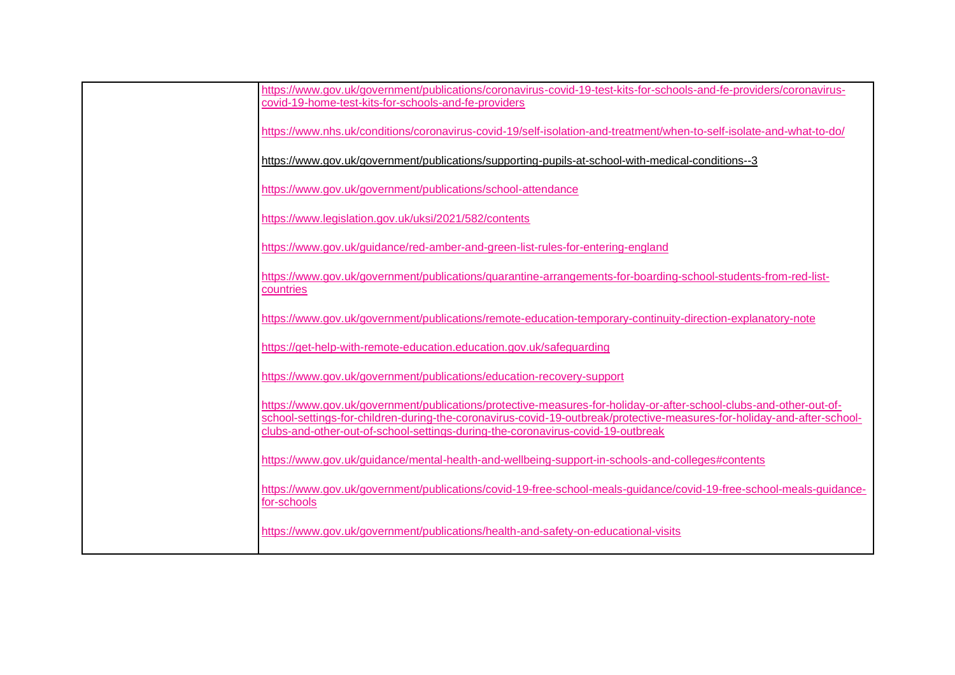| https://www.gov.uk/government/publications/coronavirus-covid-19-test-kits-for-schools-and-fe-providers/coronavirus-<br>covid-19-home-test-kits-for-schools-and-fe-providers                                                                                                                                                      |
|----------------------------------------------------------------------------------------------------------------------------------------------------------------------------------------------------------------------------------------------------------------------------------------------------------------------------------|
| https://www.nhs.uk/conditions/coronavirus-covid-19/self-isolation-and-treatment/when-to-self-isolate-and-what-to-do/                                                                                                                                                                                                             |
| https://www.gov.uk/government/publications/supporting-pupils-at-school-with-medical-conditions--3                                                                                                                                                                                                                                |
| https://www.gov.uk/government/publications/school-attendance                                                                                                                                                                                                                                                                     |
| https://www.legislation.gov.uk/uksi/2021/582/contents                                                                                                                                                                                                                                                                            |
| https://www.gov.uk/guidance/red-amber-and-green-list-rules-for-entering-england                                                                                                                                                                                                                                                  |
| https://www.gov.uk/government/publications/quarantine-arrangements-for-boarding-school-students-from-red-list-<br>countries                                                                                                                                                                                                      |
| https://www.gov.uk/government/publications/remote-education-temporary-continuity-direction-explanatory-note                                                                                                                                                                                                                      |
| https://get-help-with-remote-education.education.gov.uk/safeguarding                                                                                                                                                                                                                                                             |
| https://www.gov.uk/government/publications/education-recovery-support                                                                                                                                                                                                                                                            |
| https://www.qov.uk/government/publications/protective-measures-for-holiday-or-after-school-clubs-and-other-out-of-<br>school-settings-for-children-during-the-coronavirus-covid-19-outbreak/protective-measures-for-holiday-and-after-school-<br>clubs-and-other-out-of-school-settings-during-the-coronavirus-covid-19-outbreak |
| https://www.gov.uk/guidance/mental-health-and-wellbeing-support-in-schools-and-colleges#contents                                                                                                                                                                                                                                 |
| https://www.gov.uk/government/publications/covid-19-free-school-meals-guidance/covid-19-free-school-meals-guidance-<br>for-schools                                                                                                                                                                                               |
| https://www.gov.uk/government/publications/health-and-safety-on-educational-visits                                                                                                                                                                                                                                               |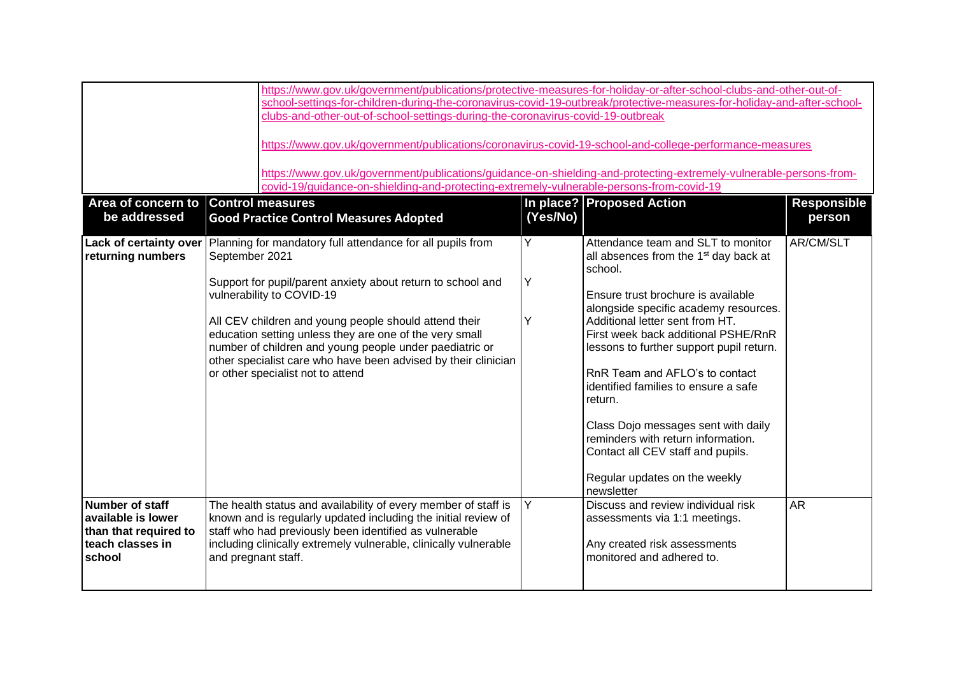| be addressed                                                                                 | https://www.gov.uk/government/publications/protective-measures-for-holiday-or-after-school-clubs-and-other-out-of-<br>school-settings-for-children-during-the-coronavirus-covid-19-outbreak/protective-measures-for-holiday-and-after-school-<br>clubs-and-other-out-of-school-settings-during-the-coronavirus-covid-19-outbreak<br>https://www.gov.uk/government/publications/coronavirus-covid-19-school-and-college-performance-measures<br>https://www.gov.uk/government/publications/guidance-on-shielding-and-protecting-extremely-vulnerable-persons-from-<br>covid-19/quidance-on-shielding-and-protecting-extremely-vulnerable-persons-from-covid-19<br>In place? Proposed Action<br>Area of concern to Control measures<br><b>Responsible</b><br>(Yes/No)<br><b>Good Practice Control Measures Adopted</b><br>person |             |                                                                                                                                                                                                                                                                                                                                                                                                                                                                                                                                                               |           |  |
|----------------------------------------------------------------------------------------------|--------------------------------------------------------------------------------------------------------------------------------------------------------------------------------------------------------------------------------------------------------------------------------------------------------------------------------------------------------------------------------------------------------------------------------------------------------------------------------------------------------------------------------------------------------------------------------------------------------------------------------------------------------------------------------------------------------------------------------------------------------------------------------------------------------------------------------|-------------|---------------------------------------------------------------------------------------------------------------------------------------------------------------------------------------------------------------------------------------------------------------------------------------------------------------------------------------------------------------------------------------------------------------------------------------------------------------------------------------------------------------------------------------------------------------|-----------|--|
| Lack of certainty over<br>returning numbers                                                  | Planning for mandatory full attendance for all pupils from<br>September 2021<br>Support for pupil/parent anxiety about return to school and<br>vulnerability to COVID-19<br>All CEV children and young people should attend their<br>education setting unless they are one of the very small<br>number of children and young people under paediatric or<br>other specialist care who have been advised by their clinician<br>or other specialist not to attend                                                                                                                                                                                                                                                                                                                                                                 | Y<br>Υ<br>Y | Attendance team and SLT to monitor<br>all absences from the 1 <sup>st</sup> day back at<br>school.<br>Ensure trust brochure is available<br>alongside specific academy resources.<br>Additional letter sent from HT.<br>First week back additional PSHE/RnR<br>lessons to further support pupil return.<br>RnR Team and AFLO's to contact<br>identified families to ensure a safe<br>return.<br>Class Dojo messages sent with daily<br>reminders with return information.<br>Contact all CEV staff and pupils.<br>Regular updates on the weekly<br>newsletter | AR/CM/SLT |  |
| Number of staff<br>available is lower<br>than that required to<br>teach classes in<br>school | The health status and availability of every member of staff is<br>known and is regularly updated including the initial review of<br>staff who had previously been identified as vulnerable<br>including clinically extremely vulnerable, clinically vulnerable<br>and pregnant staff.                                                                                                                                                                                                                                                                                                                                                                                                                                                                                                                                          | Y           | Discuss and review individual risk<br>assessments via 1:1 meetings.<br>Any created risk assessments<br>monitored and adhered to.                                                                                                                                                                                                                                                                                                                                                                                                                              | <b>AR</b> |  |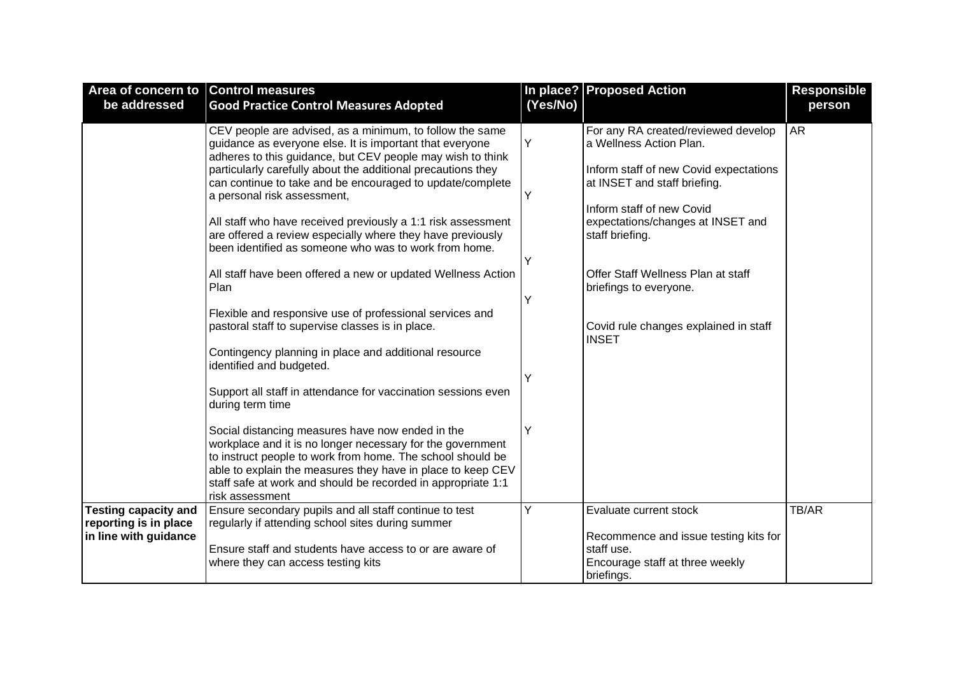| Area of concern to Control measures                                           |                                                                                                                                                                                                                                                                                                                                                                                                                                                                                                                                                                                                                                                                                                                                                                                                                                                                                                         |                       | In place? Proposed Action                                                                                                                                                                                                                                                                                                                              | <b>Responsible</b> |
|-------------------------------------------------------------------------------|---------------------------------------------------------------------------------------------------------------------------------------------------------------------------------------------------------------------------------------------------------------------------------------------------------------------------------------------------------------------------------------------------------------------------------------------------------------------------------------------------------------------------------------------------------------------------------------------------------------------------------------------------------------------------------------------------------------------------------------------------------------------------------------------------------------------------------------------------------------------------------------------------------|-----------------------|--------------------------------------------------------------------------------------------------------------------------------------------------------------------------------------------------------------------------------------------------------------------------------------------------------------------------------------------------------|--------------------|
| be addressed                                                                  | <b>Good Practice Control Measures Adopted</b>                                                                                                                                                                                                                                                                                                                                                                                                                                                                                                                                                                                                                                                                                                                                                                                                                                                           | (Yes/No)              |                                                                                                                                                                                                                                                                                                                                                        | person             |
|                                                                               | CEV people are advised, as a minimum, to follow the same<br>guidance as everyone else. It is important that everyone<br>adheres to this guidance, but CEV people may wish to think<br>particularly carefully about the additional precautions they<br>can continue to take and be encouraged to update/complete<br>a personal risk assessment,<br>All staff who have received previously a 1:1 risk assessment<br>are offered a review especially where they have previously<br>been identified as someone who was to work from home.<br>All staff have been offered a new or updated Wellness Action<br>Plan<br>Flexible and responsive use of professional services and<br>pastoral staff to supervise classes is in place.<br>Contingency planning in place and additional resource<br>identified and budgeted.<br>Support all staff in attendance for vaccination sessions even<br>during term time | Υ<br>Υ<br>Y<br>Y<br>Y | For any RA created/reviewed develop<br>a Wellness Action Plan.<br>Inform staff of new Covid expectations<br>at INSET and staff briefing.<br>Inform staff of new Covid<br>expectations/changes at INSET and<br>staff briefing.<br>Offer Staff Wellness Plan at staff<br>briefings to everyone.<br>Covid rule changes explained in staff<br><b>INSET</b> | <b>AR</b>          |
|                                                                               | Social distancing measures have now ended in the<br>workplace and it is no longer necessary for the government<br>to instruct people to work from home. The school should be<br>able to explain the measures they have in place to keep CEV<br>staff safe at work and should be recorded in appropriate 1:1<br>risk assessment                                                                                                                                                                                                                                                                                                                                                                                                                                                                                                                                                                          | Y                     |                                                                                                                                                                                                                                                                                                                                                        |                    |
| <b>Testing capacity and</b><br>reporting is in place<br>in line with guidance | Ensure secondary pupils and all staff continue to test<br>regularly if attending school sites during summer<br>Ensure staff and students have access to or are aware of<br>where they can access testing kits                                                                                                                                                                                                                                                                                                                                                                                                                                                                                                                                                                                                                                                                                           | Y                     | Evaluate current stock<br>Recommence and issue testing kits for<br>staff use.<br>Encourage staff at three weekly<br>briefings.                                                                                                                                                                                                                         | TB/AR              |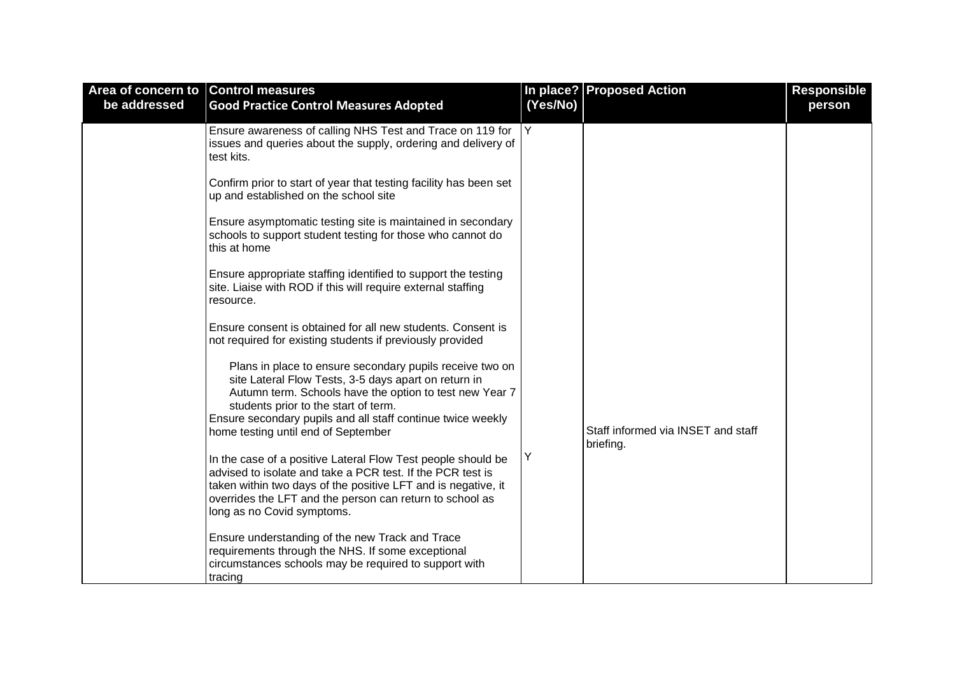| Area of concern to Control measures |                                                                                                                                                                                                                                                                                                                                                                                                                                                                                                                                                   |          | In place? Proposed Action                       | <b>Responsible</b> |
|-------------------------------------|---------------------------------------------------------------------------------------------------------------------------------------------------------------------------------------------------------------------------------------------------------------------------------------------------------------------------------------------------------------------------------------------------------------------------------------------------------------------------------------------------------------------------------------------------|----------|-------------------------------------------------|--------------------|
| be addressed                        | <b>Good Practice Control Measures Adopted</b>                                                                                                                                                                                                                                                                                                                                                                                                                                                                                                     | (Yes/No) |                                                 | person             |
|                                     | Ensure awareness of calling NHS Test and Trace on 119 for<br>issues and queries about the supply, ordering and delivery of<br>test kits.<br>Confirm prior to start of year that testing facility has been set<br>up and established on the school site<br>Ensure asymptomatic testing site is maintained in secondary<br>schools to support student testing for those who cannot do<br>this at home<br>Ensure appropriate staffing identified to support the testing<br>site. Liaise with ROD if this will require external staffing<br>resource. | Y        |                                                 |                    |
|                                     | Ensure consent is obtained for all new students. Consent is<br>not required for existing students if previously provided                                                                                                                                                                                                                                                                                                                                                                                                                          |          |                                                 |                    |
|                                     | Plans in place to ensure secondary pupils receive two on<br>site Lateral Flow Tests, 3-5 days apart on return in<br>Autumn term. Schools have the option to test new Year 7<br>students prior to the start of term.<br>Ensure secondary pupils and all staff continue twice weekly<br>home testing until end of September                                                                                                                                                                                                                         |          | Staff informed via INSET and staff<br>briefing. |                    |
|                                     | In the case of a positive Lateral Flow Test people should be<br>advised to isolate and take a PCR test. If the PCR test is<br>taken within two days of the positive LFT and is negative, it<br>overrides the LFT and the person can return to school as<br>long as no Covid symptoms.                                                                                                                                                                                                                                                             | Y        |                                                 |                    |
|                                     | Ensure understanding of the new Track and Trace<br>requirements through the NHS. If some exceptional<br>circumstances schools may be required to support with<br>tracing                                                                                                                                                                                                                                                                                                                                                                          |          |                                                 |                    |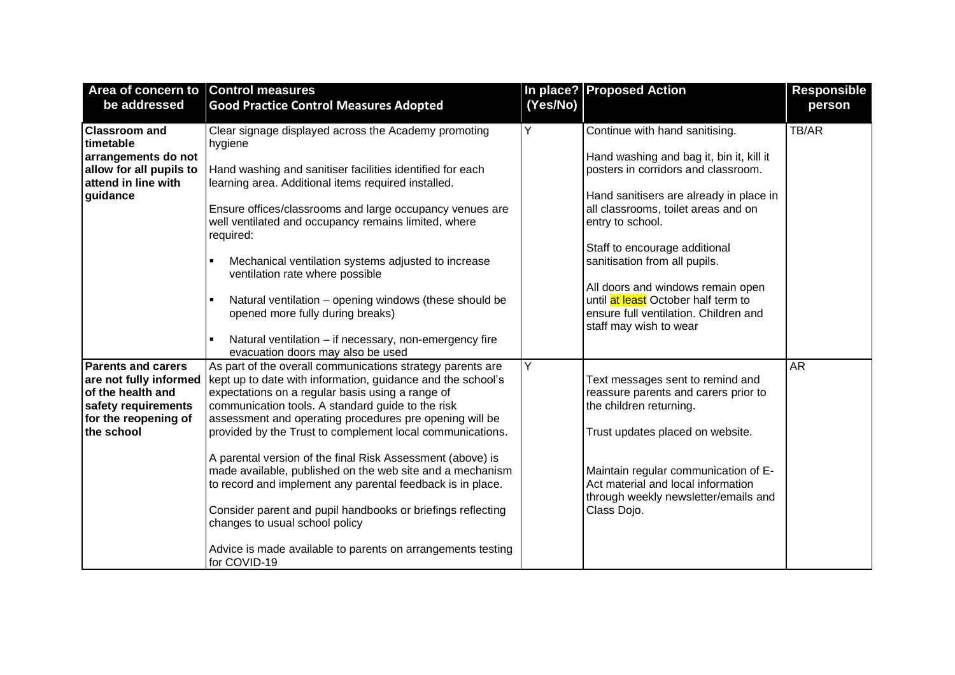| Area of concern to Control measures                                                                                                   |                                                                                                                                                                                                                                                                                                                                                                                                                                                                                                                                                                                                                                                                                                                                     |          | In place? Proposed Action                                                                                                                                                                                                                                                                 | <b>Responsible</b> |
|---------------------------------------------------------------------------------------------------------------------------------------|-------------------------------------------------------------------------------------------------------------------------------------------------------------------------------------------------------------------------------------------------------------------------------------------------------------------------------------------------------------------------------------------------------------------------------------------------------------------------------------------------------------------------------------------------------------------------------------------------------------------------------------------------------------------------------------------------------------------------------------|----------|-------------------------------------------------------------------------------------------------------------------------------------------------------------------------------------------------------------------------------------------------------------------------------------------|--------------------|
| be addressed                                                                                                                          | <b>Good Practice Control Measures Adopted</b>                                                                                                                                                                                                                                                                                                                                                                                                                                                                                                                                                                                                                                                                                       | (Yes/No) |                                                                                                                                                                                                                                                                                           | person             |
| <b>Classroom and</b><br>timetable<br>arrangements do not<br>allow for all pupils to<br>attend in line with<br>guidance                | Clear signage displayed across the Academy promoting<br>hygiene<br>Hand washing and sanitiser facilities identified for each<br>learning area. Additional items required installed.<br>Ensure offices/classrooms and large occupancy venues are<br>well ventilated and occupancy remains limited, where<br>required:<br>Mechanical ventilation systems adjusted to increase<br>$\blacksquare$<br>ventilation rate where possible                                                                                                                                                                                                                                                                                                    | Y        | Continue with hand sanitising.<br>Hand washing and bag it, bin it, kill it<br>posters in corridors and classroom.<br>Hand sanitisers are already in place in<br>all classrooms, toilet areas and on<br>entry to school.<br>Staff to encourage additional<br>sanitisation from all pupils. | TB/AR              |
|                                                                                                                                       | Natural ventilation - opening windows (these should be<br>$\blacksquare$<br>opened more fully during breaks)<br>Natural ventilation - if necessary, non-emergency fire<br>$\blacksquare$<br>evacuation doors may also be used                                                                                                                                                                                                                                                                                                                                                                                                                                                                                                       |          | All doors and windows remain open<br>until at least October half term to<br>ensure full ventilation. Children and<br>staff may wish to wear                                                                                                                                               |                    |
| <b>Parents and carers</b><br>are not fully informed<br>of the health and<br>safety requirements<br>for the reopening of<br>the school | As part of the overall communications strategy parents are<br>kept up to date with information, guidance and the school's<br>expectations on a regular basis using a range of<br>communication tools. A standard guide to the risk<br>assessment and operating procedures pre opening will be<br>provided by the Trust to complement local communications.<br>A parental version of the final Risk Assessment (above) is<br>made available, published on the web site and a mechanism<br>to record and implement any parental feedback is in place.<br>Consider parent and pupil handbooks or briefings reflecting<br>changes to usual school policy<br>Advice is made available to parents on arrangements testing<br>for COVID-19 | Y        | Text messages sent to remind and<br>reassure parents and carers prior to<br>the children returning.<br>Trust updates placed on website.<br>Maintain regular communication of E-<br>Act material and local information<br>through weekly newsletter/emails and<br>Class Dojo.              | <b>AR</b>          |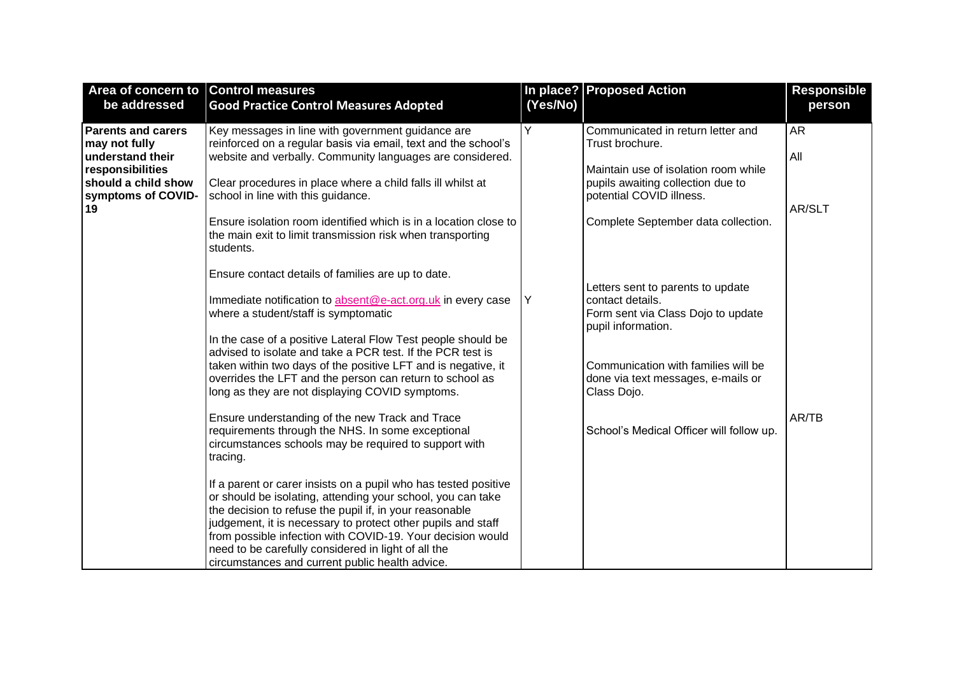| Area of concern to Control measures<br>be addressed | <b>Good Practice Control Measures Adopted</b>                                                                                  | (Yes/No) | In place? Proposed Action                                | <b>Responsible</b><br>person |
|-----------------------------------------------------|--------------------------------------------------------------------------------------------------------------------------------|----------|----------------------------------------------------------|------------------------------|
|                                                     |                                                                                                                                |          |                                                          |                              |
| <b>Parents and carers</b>                           | Key messages in line with government guidance are                                                                              | Y        | Communicated in return letter and                        | <b>AR</b>                    |
| may not fully                                       | reinforced on a regular basis via email, text and the school's                                                                 |          | Trust brochure.                                          |                              |
| understand their<br>responsibilities                | website and verbally. Community languages are considered.                                                                      |          | Maintain use of isolation room while                     | All                          |
| should a child show                                 | Clear procedures in place where a child falls ill whilst at                                                                    |          | pupils awaiting collection due to                        |                              |
| symptoms of COVID-                                  | school in line with this guidance.                                                                                             |          | potential COVID illness.                                 |                              |
| 19                                                  |                                                                                                                                |          |                                                          | AR/SLT                       |
|                                                     | Ensure isolation room identified which is in a location close to<br>the main exit to limit transmission risk when transporting |          | Complete September data collection.                      |                              |
|                                                     | students.                                                                                                                      |          |                                                          |                              |
|                                                     | Ensure contact details of families are up to date.                                                                             |          |                                                          |                              |
|                                                     |                                                                                                                                |          | Letters sent to parents to update                        |                              |
|                                                     | Immediate notification to absent@e-act.org.uk in every case                                                                    | Υ        | contact details.                                         |                              |
|                                                     | where a student/staff is symptomatic                                                                                           |          | Form sent via Class Dojo to update<br>pupil information. |                              |
|                                                     | In the case of a positive Lateral Flow Test people should be                                                                   |          |                                                          |                              |
|                                                     | advised to isolate and take a PCR test. If the PCR test is                                                                     |          |                                                          |                              |
|                                                     | taken within two days of the positive LFT and is negative, it<br>overrides the LFT and the person can return to school as      |          | Communication with families will be                      |                              |
|                                                     | long as they are not displaying COVID symptoms.                                                                                |          | done via text messages, e-mails or<br>Class Dojo.        |                              |
|                                                     |                                                                                                                                |          |                                                          |                              |
|                                                     | Ensure understanding of the new Track and Trace                                                                                |          |                                                          | AR/TB                        |
|                                                     | requirements through the NHS. In some exceptional                                                                              |          | School's Medical Officer will follow up.                 |                              |
|                                                     | circumstances schools may be required to support with<br>tracing.                                                              |          |                                                          |                              |
|                                                     |                                                                                                                                |          |                                                          |                              |
|                                                     | If a parent or carer insists on a pupil who has tested positive                                                                |          |                                                          |                              |
|                                                     | or should be isolating, attending your school, you can take                                                                    |          |                                                          |                              |
|                                                     | the decision to refuse the pupil if, in your reasonable                                                                        |          |                                                          |                              |
|                                                     | judgement, it is necessary to protect other pupils and staff<br>from possible infection with COVID-19. Your decision would     |          |                                                          |                              |
|                                                     | need to be carefully considered in light of all the                                                                            |          |                                                          |                              |
|                                                     | circumstances and current public health advice.                                                                                |          |                                                          |                              |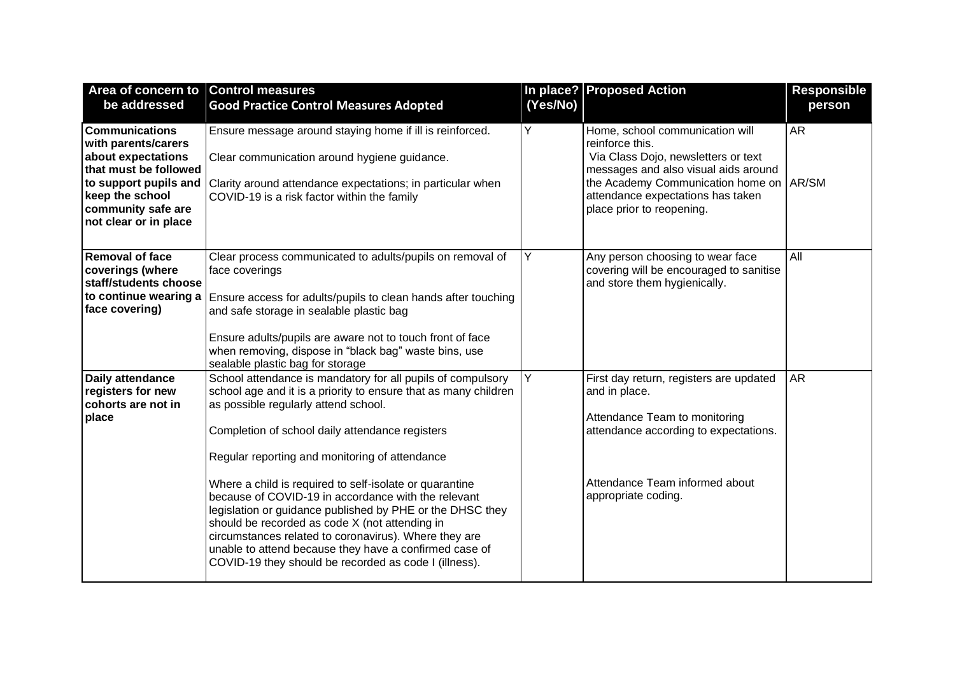| Area of concern to Control measures                                                                                                                           |                                                                                                                                                                                                                                                                                                                                                                                                                                                                                                                                                                                                                                                                                          |          | In place? Proposed Action                                                                                                                                                                                                                      | <b>Responsible</b> |
|---------------------------------------------------------------------------------------------------------------------------------------------------------------|------------------------------------------------------------------------------------------------------------------------------------------------------------------------------------------------------------------------------------------------------------------------------------------------------------------------------------------------------------------------------------------------------------------------------------------------------------------------------------------------------------------------------------------------------------------------------------------------------------------------------------------------------------------------------------------|----------|------------------------------------------------------------------------------------------------------------------------------------------------------------------------------------------------------------------------------------------------|--------------------|
| be addressed                                                                                                                                                  | <b>Good Practice Control Measures Adopted</b>                                                                                                                                                                                                                                                                                                                                                                                                                                                                                                                                                                                                                                            | (Yes/No) |                                                                                                                                                                                                                                                | person             |
| <b>Communications</b><br>with parents/carers<br>about expectations<br>that must be followed<br>keep the school<br>community safe are<br>not clear or in place | Ensure message around staying home if ill is reinforced.<br>Clear communication around hygiene guidance.<br>to support pupils and Clarity around attendance expectations; in particular when<br>COVID-19 is a risk factor within the family                                                                                                                                                                                                                                                                                                                                                                                                                                              | Y        | Home, school communication will<br>reinforce this.<br>Via Class Dojo, newsletters or text<br>messages and also visual aids around<br>the Academy Communication home on AR/SM<br>attendance expectations has taken<br>place prior to reopening. | <b>AR</b>          |
| <b>Removal of face</b><br>coverings (where<br>staff/students choose<br>to continue wearing a<br>face covering)                                                | Clear process communicated to adults/pupils on removal of<br>face coverings<br>Ensure access for adults/pupils to clean hands after touching<br>and safe storage in sealable plastic bag<br>Ensure adults/pupils are aware not to touch front of face<br>when removing, dispose in "black bag" waste bins, use<br>sealable plastic bag for storage                                                                                                                                                                                                                                                                                                                                       | Y        | Any person choosing to wear face<br>covering will be encouraged to sanitise<br>and store them hygienically.                                                                                                                                    | All                |
| Daily attendance<br>registers for new<br>cohorts are not in<br>place                                                                                          | School attendance is mandatory for all pupils of compulsory<br>school age and it is a priority to ensure that as many children<br>as possible regularly attend school.<br>Completion of school daily attendance registers<br>Regular reporting and monitoring of attendance<br>Where a child is required to self-isolate or quarantine<br>because of COVID-19 in accordance with the relevant<br>legislation or guidance published by PHE or the DHSC they<br>should be recorded as code X (not attending in<br>circumstances related to coronavirus). Where they are<br>unable to attend because they have a confirmed case of<br>COVID-19 they should be recorded as code I (illness). | Y        | First day return, registers are updated<br>and in place.<br>Attendance Team to monitoring<br>attendance according to expectations.<br>Attendance Team informed about<br>appropriate coding.                                                    | <b>AR</b>          |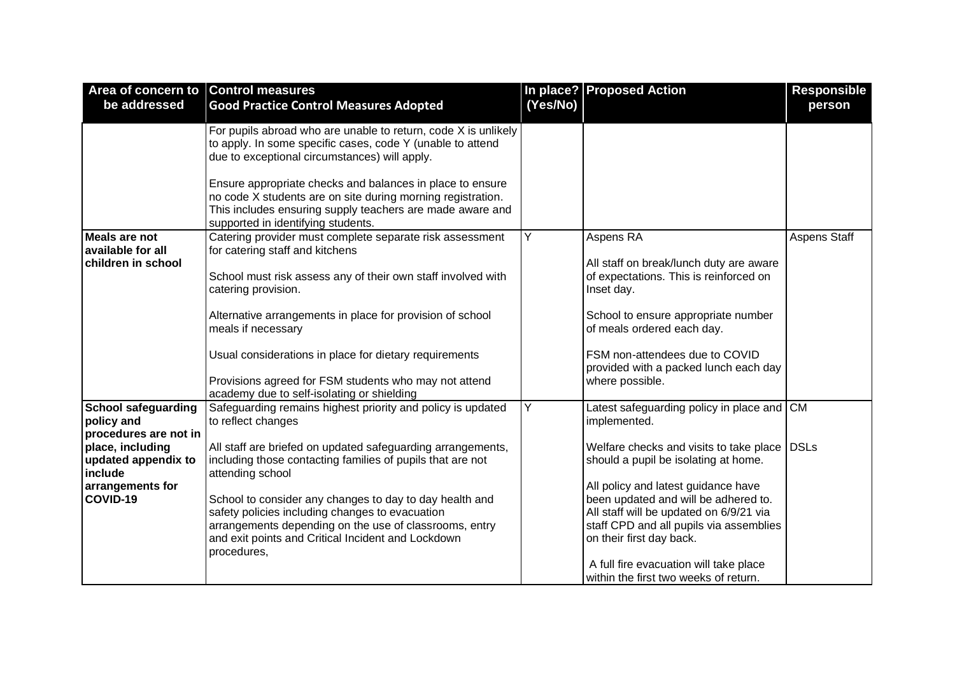| Area of concern to Control measures                                                                                                                     |                                                                                                                                                                                                                                                                                                                                                                                                                                                                                 |          | In place? Proposed Action                                                                                                                                                                                                                                                                                                                                                                                                              | <b>Responsible</b>  |
|---------------------------------------------------------------------------------------------------------------------------------------------------------|---------------------------------------------------------------------------------------------------------------------------------------------------------------------------------------------------------------------------------------------------------------------------------------------------------------------------------------------------------------------------------------------------------------------------------------------------------------------------------|----------|----------------------------------------------------------------------------------------------------------------------------------------------------------------------------------------------------------------------------------------------------------------------------------------------------------------------------------------------------------------------------------------------------------------------------------------|---------------------|
| be addressed                                                                                                                                            | <b>Good Practice Control Measures Adopted</b>                                                                                                                                                                                                                                                                                                                                                                                                                                   | (Yes/No) |                                                                                                                                                                                                                                                                                                                                                                                                                                        | person              |
|                                                                                                                                                         | For pupils abroad who are unable to return, code X is unlikely<br>to apply. In some specific cases, code Y (unable to attend<br>due to exceptional circumstances) will apply.<br>Ensure appropriate checks and balances in place to ensure<br>no code X students are on site during morning registration.<br>This includes ensuring supply teachers are made aware and                                                                                                          |          |                                                                                                                                                                                                                                                                                                                                                                                                                                        |                     |
| <b>Meals are not</b><br>available for all<br>children in school                                                                                         | supported in identifying students.<br>Catering provider must complete separate risk assessment<br>for catering staff and kitchens<br>School must risk assess any of their own staff involved with<br>catering provision.<br>Alternative arrangements in place for provision of school<br>meals if necessary<br>Usual considerations in place for dietary requirements<br>Provisions agreed for FSM students who may not attend<br>academy due to self-isolating or shielding    | Y        | Aspens RA<br>All staff on break/lunch duty are aware<br>of expectations. This is reinforced on<br>Inset day.<br>School to ensure appropriate number<br>of meals ordered each day.<br>FSM non-attendees due to COVID<br>provided with a packed lunch each day<br>where possible.                                                                                                                                                        | <b>Aspens Staff</b> |
| <b>School safeguarding</b><br>policy and<br>procedures are not in<br>place, including<br>updated appendix to<br>include<br>arrangements for<br>COVID-19 | Safeguarding remains highest priority and policy is updated<br>to reflect changes<br>All staff are briefed on updated safeguarding arrangements,<br>including those contacting families of pupils that are not<br>attending school<br>School to consider any changes to day to day health and<br>safety policies including changes to evacuation<br>arrangements depending on the use of classrooms, entry<br>and exit points and Critical Incident and Lockdown<br>procedures, | Y        | Latest safeguarding policy in place and CM<br>implemented.<br>Welfare checks and visits to take place DSLs<br>should a pupil be isolating at home.<br>All policy and latest guidance have<br>been updated and will be adhered to.<br>All staff will be updated on 6/9/21 via<br>staff CPD and all pupils via assemblies<br>on their first day back.<br>A full fire evacuation will take place<br>within the first two weeks of return. |                     |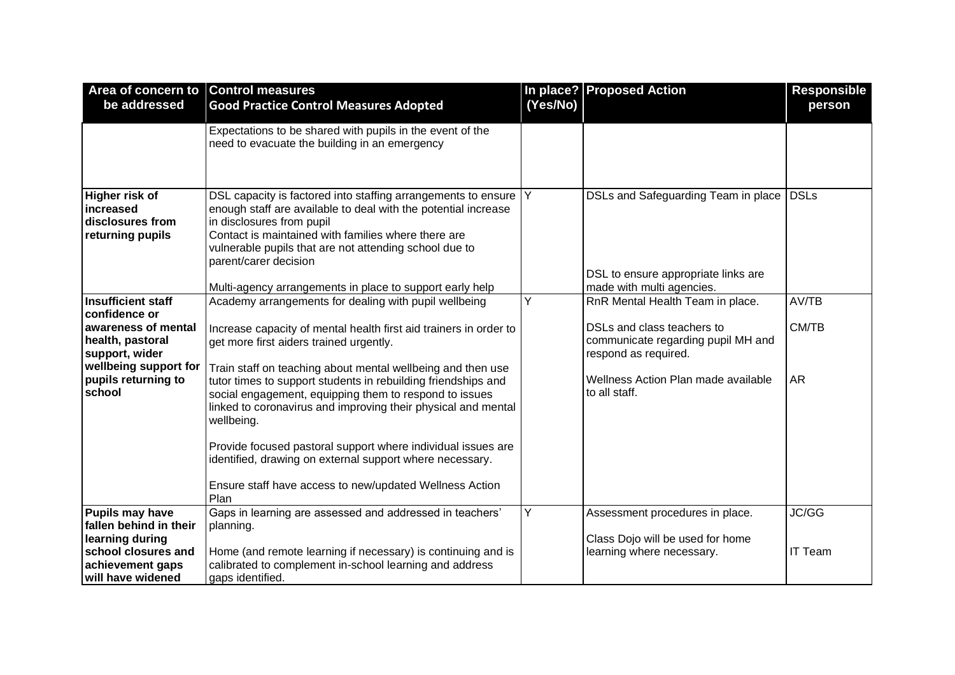| Area of concern to Control measures                                 |                                                                                                                                                                                                                                                                                                                                                                                                                                                                      |          | In place? Proposed Action                                                                               | <b>Responsible</b> |
|---------------------------------------------------------------------|----------------------------------------------------------------------------------------------------------------------------------------------------------------------------------------------------------------------------------------------------------------------------------------------------------------------------------------------------------------------------------------------------------------------------------------------------------------------|----------|---------------------------------------------------------------------------------------------------------|--------------------|
| be addressed                                                        | <b>Good Practice Control Measures Adopted</b>                                                                                                                                                                                                                                                                                                                                                                                                                        | (Yes/No) |                                                                                                         | person             |
|                                                                     | Expectations to be shared with pupils in the event of the<br>need to evacuate the building in an emergency                                                                                                                                                                                                                                                                                                                                                           |          |                                                                                                         |                    |
| Higher risk of<br>increased<br>disclosures from<br>returning pupils | DSL capacity is factored into staffing arrangements to ensure<br>enough staff are available to deal with the potential increase<br>in disclosures from pupil<br>Contact is maintained with families where there are<br>vulnerable pupils that are not attending school due to<br>parent/carer decision<br>Multi-agency arrangements in place to support early help                                                                                                   | Y        | DSLs and Safeguarding Team in place<br>DSL to ensure appropriate links are<br>made with multi agencies. | <b>DSLs</b>        |
| <b>Insufficient staff</b>                                           | Academy arrangements for dealing with pupil wellbeing                                                                                                                                                                                                                                                                                                                                                                                                                | Y        | RnR Mental Health Team in place.                                                                        | AV/TB              |
| confidence or                                                       |                                                                                                                                                                                                                                                                                                                                                                                                                                                                      |          |                                                                                                         |                    |
| awareness of mental<br>health, pastoral<br>support, wider           | Increase capacity of mental health first aid trainers in order to<br>get more first aiders trained urgently.                                                                                                                                                                                                                                                                                                                                                         |          | DSLs and class teachers to<br>communicate regarding pupil MH and<br>respond as required.                | CM/TB              |
| wellbeing support for<br>pupils returning to<br>school              | Train staff on teaching about mental wellbeing and then use<br>tutor times to support students in rebuilding friendships and<br>social engagement, equipping them to respond to issues<br>linked to coronavirus and improving their physical and mental<br>wellbeing.<br>Provide focused pastoral support where individual issues are<br>identified, drawing on external support where necessary.<br>Ensure staff have access to new/updated Wellness Action<br>Plan |          | Wellness Action Plan made available<br>to all staff.                                                    | <b>AR</b>          |
| <b>Pupils may have</b>                                              | Gaps in learning are assessed and addressed in teachers'                                                                                                                                                                                                                                                                                                                                                                                                             | Υ        | Assessment procedures in place.                                                                         | JC/GG              |
| fallen behind in their                                              | planning.                                                                                                                                                                                                                                                                                                                                                                                                                                                            |          |                                                                                                         |                    |
| learning during<br>school closures and                              | Home (and remote learning if necessary) is continuing and is                                                                                                                                                                                                                                                                                                                                                                                                         |          | Class Dojo will be used for home<br>learning where necessary.                                           | <b>IT Team</b>     |
| achievement gaps                                                    | calibrated to complement in-school learning and address                                                                                                                                                                                                                                                                                                                                                                                                              |          |                                                                                                         |                    |
| will have widened                                                   | gaps identified.                                                                                                                                                                                                                                                                                                                                                                                                                                                     |          |                                                                                                         |                    |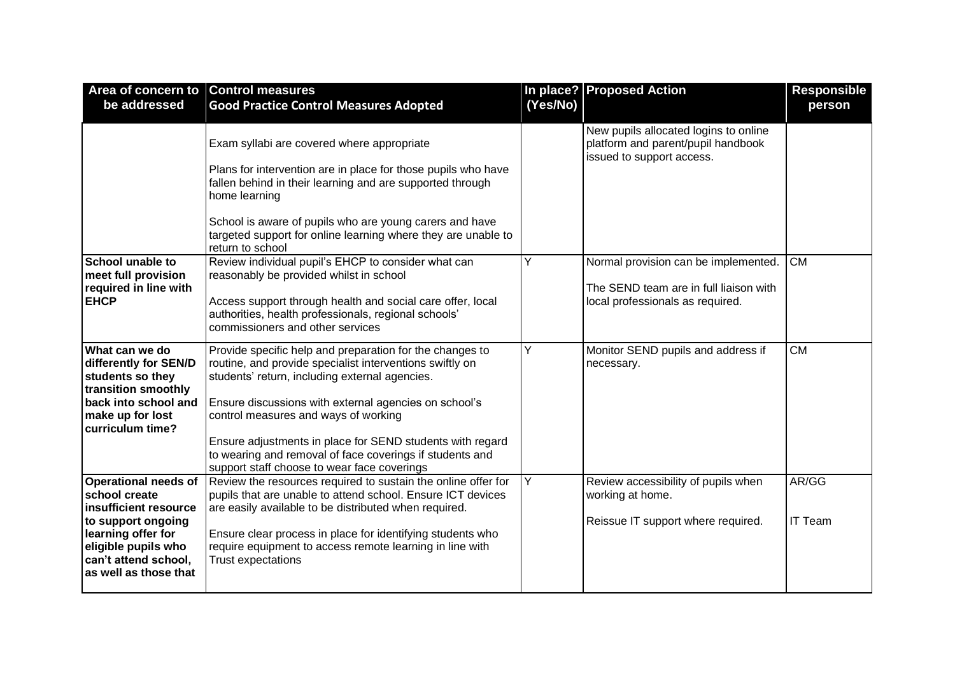| Area of concern to Control measures                                                                                                                                                       |                                                                                                                                                                                                                                                                                                                                                                                                                                                 |          | In place? Proposed Action                                                                                          | <b>Responsible</b> |
|-------------------------------------------------------------------------------------------------------------------------------------------------------------------------------------------|-------------------------------------------------------------------------------------------------------------------------------------------------------------------------------------------------------------------------------------------------------------------------------------------------------------------------------------------------------------------------------------------------------------------------------------------------|----------|--------------------------------------------------------------------------------------------------------------------|--------------------|
| be addressed                                                                                                                                                                              | <b>Good Practice Control Measures Adopted</b>                                                                                                                                                                                                                                                                                                                                                                                                   | (Yes/No) |                                                                                                                    | person             |
|                                                                                                                                                                                           | Exam syllabi are covered where appropriate<br>Plans for intervention are in place for those pupils who have<br>fallen behind in their learning and are supported through<br>home learning<br>School is aware of pupils who are young carers and have<br>targeted support for online learning where they are unable to<br>return to school                                                                                                       |          | New pupils allocated logins to online<br>platform and parent/pupil handbook<br>issued to support access.           |                    |
| School unable to<br>meet full provision<br>required in line with<br><b>EHCP</b>                                                                                                           | Review individual pupil's EHCP to consider what can<br>reasonably be provided whilst in school<br>Access support through health and social care offer, local<br>authorities, health professionals, regional schools'<br>commissioners and other services                                                                                                                                                                                        | Υ        | Normal provision can be implemented.<br>The SEND team are in full liaison with<br>local professionals as required. | <b>CM</b>          |
| What can we do<br>differently for SEN/D<br>students so they<br>transition smoothly<br>back into school and<br>make up for lost<br>curriculum time?                                        | Provide specific help and preparation for the changes to<br>routine, and provide specialist interventions swiftly on<br>students' return, including external agencies.<br>Ensure discussions with external agencies on school's<br>control measures and ways of working<br>Ensure adjustments in place for SEND students with regard<br>to wearing and removal of face coverings if students and<br>support staff choose to wear face coverings | Y        | Monitor SEND pupils and address if<br>necessary.                                                                   | <b>CM</b>          |
| <b>Operational needs of</b><br>school create<br>insufficient resource<br>to support ongoing<br>learning offer for<br>eligible pupils who<br>can't attend school,<br>as well as those that | Review the resources required to sustain the online offer for<br>pupils that are unable to attend school. Ensure ICT devices<br>are easily available to be distributed when required.<br>Ensure clear process in place for identifying students who<br>require equipment to access remote learning in line with<br>Trust expectations                                                                                                           | Y        | Review accessibility of pupils when<br>working at home.<br>Reissue IT support where required.                      | AR/GG<br>IT Team   |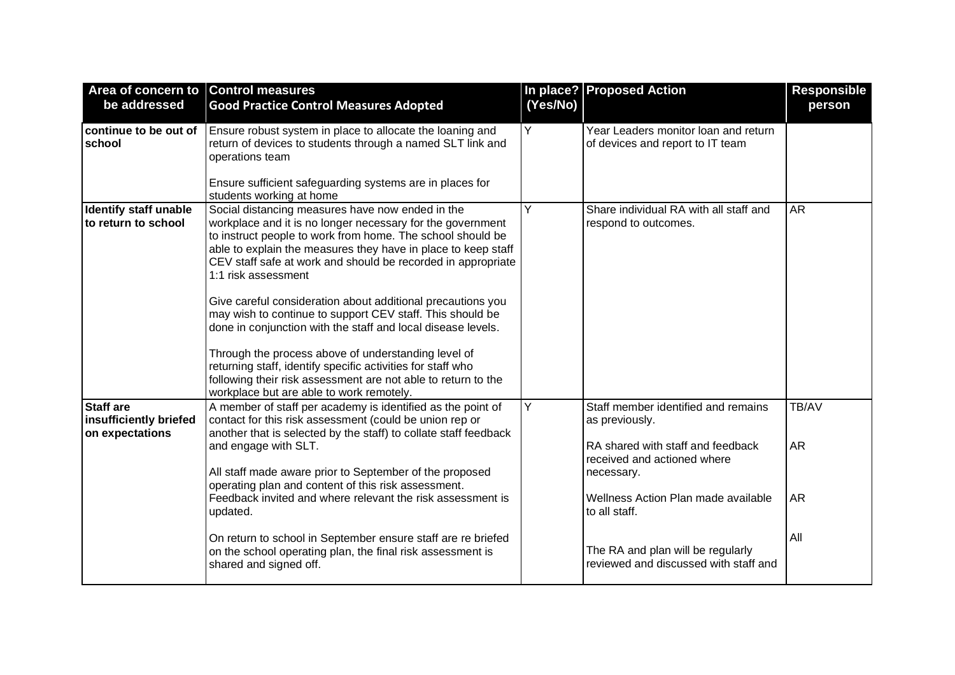| Area of concern to Control measures<br>be addressed           | <b>Good Practice Control Measures Adopted</b>                                                                                                                                                                                                                                                                                                                                                                                                                                                                                                                                                                                                                                                                                                                       | (Yes/No) | In place? Proposed Action                                                                                                                                                                                                                                                     | <b>Responsible</b><br>person           |
|---------------------------------------------------------------|---------------------------------------------------------------------------------------------------------------------------------------------------------------------------------------------------------------------------------------------------------------------------------------------------------------------------------------------------------------------------------------------------------------------------------------------------------------------------------------------------------------------------------------------------------------------------------------------------------------------------------------------------------------------------------------------------------------------------------------------------------------------|----------|-------------------------------------------------------------------------------------------------------------------------------------------------------------------------------------------------------------------------------------------------------------------------------|----------------------------------------|
| continue to be out of<br>school                               | Ensure robust system in place to allocate the loaning and<br>return of devices to students through a named SLT link and<br>operations team<br>Ensure sufficient safeguarding systems are in places for<br>students working at home                                                                                                                                                                                                                                                                                                                                                                                                                                                                                                                                  | Y        | Year Leaders monitor loan and return<br>of devices and report to IT team                                                                                                                                                                                                      |                                        |
| <b>Identify staff unable</b><br>to return to school           | Social distancing measures have now ended in the<br>workplace and it is no longer necessary for the government<br>to instruct people to work from home. The school should be<br>able to explain the measures they have in place to keep staff<br>CEV staff safe at work and should be recorded in appropriate<br>1:1 risk assessment<br>Give careful consideration about additional precautions you<br>may wish to continue to support CEV staff. This should be<br>done in conjunction with the staff and local disease levels.<br>Through the process above of understanding level of<br>returning staff, identify specific activities for staff who<br>following their risk assessment are not able to return to the<br>workplace but are able to work remotely. | Y        | Share individual RA with all staff and<br>respond to outcomes.                                                                                                                                                                                                                | <b>AR</b>                              |
| <b>Staff are</b><br>insufficiently briefed<br>on expectations | A member of staff per academy is identified as the point of<br>contact for this risk assessment (could be union rep or<br>another that is selected by the staff) to collate staff feedback<br>and engage with SLT.<br>All staff made aware prior to September of the proposed<br>operating plan and content of this risk assessment.<br>Feedback invited and where relevant the risk assessment is<br>updated.<br>On return to school in September ensure staff are re briefed<br>on the school operating plan, the final risk assessment is<br>shared and signed off.                                                                                                                                                                                              | Y        | Staff member identified and remains<br>as previously.<br>RA shared with staff and feedback<br>received and actioned where<br>necessary.<br>Wellness Action Plan made available<br>to all staff.<br>The RA and plan will be regularly<br>reviewed and discussed with staff and | TB/AV<br><b>AR</b><br><b>AR</b><br>All |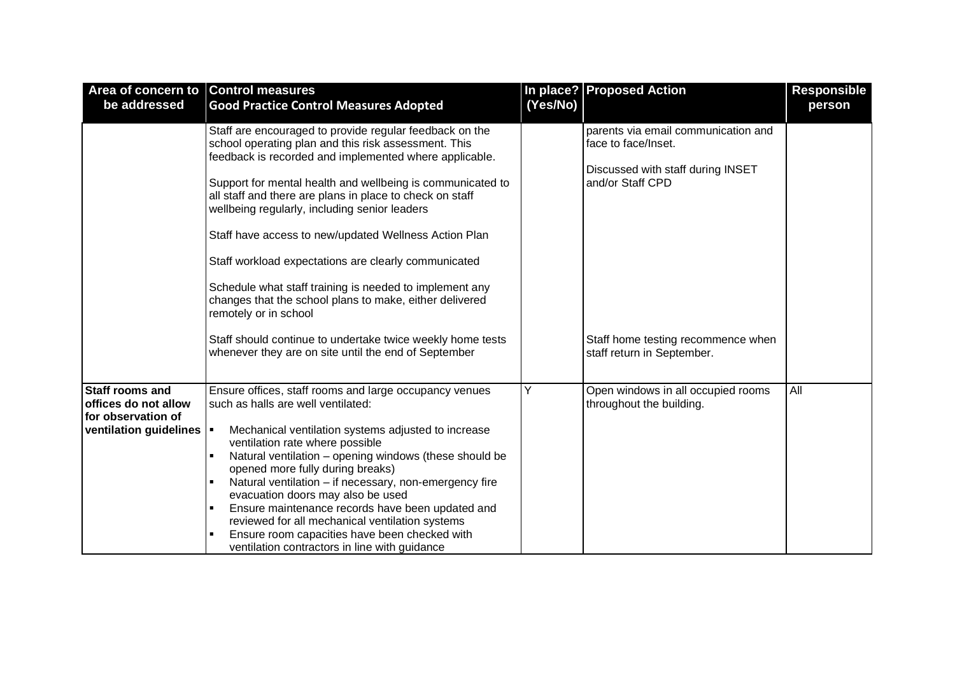| Area of concern to Control measures<br>be addressed                                            | <b>Good Practice Control Measures Adopted</b>                                                                                                                                                                                                                                                                                                                                                                                                                                                                                                                                                                        | (Yes/No) | In place? Proposed Action                                                                                           | <b>Responsible</b><br>person |
|------------------------------------------------------------------------------------------------|----------------------------------------------------------------------------------------------------------------------------------------------------------------------------------------------------------------------------------------------------------------------------------------------------------------------------------------------------------------------------------------------------------------------------------------------------------------------------------------------------------------------------------------------------------------------------------------------------------------------|----------|---------------------------------------------------------------------------------------------------------------------|------------------------------|
|                                                                                                | Staff are encouraged to provide regular feedback on the<br>school operating plan and this risk assessment. This<br>feedback is recorded and implemented where applicable.<br>Support for mental health and wellbeing is communicated to<br>all staff and there are plans in place to check on staff<br>wellbeing regularly, including senior leaders<br>Staff have access to new/updated Wellness Action Plan<br>Staff workload expectations are clearly communicated<br>Schedule what staff training is needed to implement any<br>changes that the school plans to make, either delivered<br>remotely or in school |          | parents via email communication and<br>face to face/Inset.<br>Discussed with staff during INSET<br>and/or Staff CPD |                              |
|                                                                                                | Staff should continue to undertake twice weekly home tests<br>whenever they are on site until the end of September                                                                                                                                                                                                                                                                                                                                                                                                                                                                                                   |          | Staff home testing recommence when<br>staff return in September.                                                    |                              |
| <b>Staff rooms and</b><br>offices do not allow<br>for observation of<br>ventilation guidelines | Ensure offices, staff rooms and large occupancy venues<br>such as halls are well ventilated:<br>Mechanical ventilation systems adjusted to increase<br>I.<br>ventilation rate where possible<br>Natural ventilation - opening windows (these should be<br>$\blacksquare$<br>opened more fully during breaks)<br>Natural ventilation - if necessary, non-emergency fire<br>evacuation doors may also be used<br>Ensure maintenance records have been updated and<br>reviewed for all mechanical ventilation systems<br>Ensure room capacities have been checked with<br>ventilation contractors in line with guidance | Υ        | Open windows in all occupied rooms<br>throughout the building.                                                      | All                          |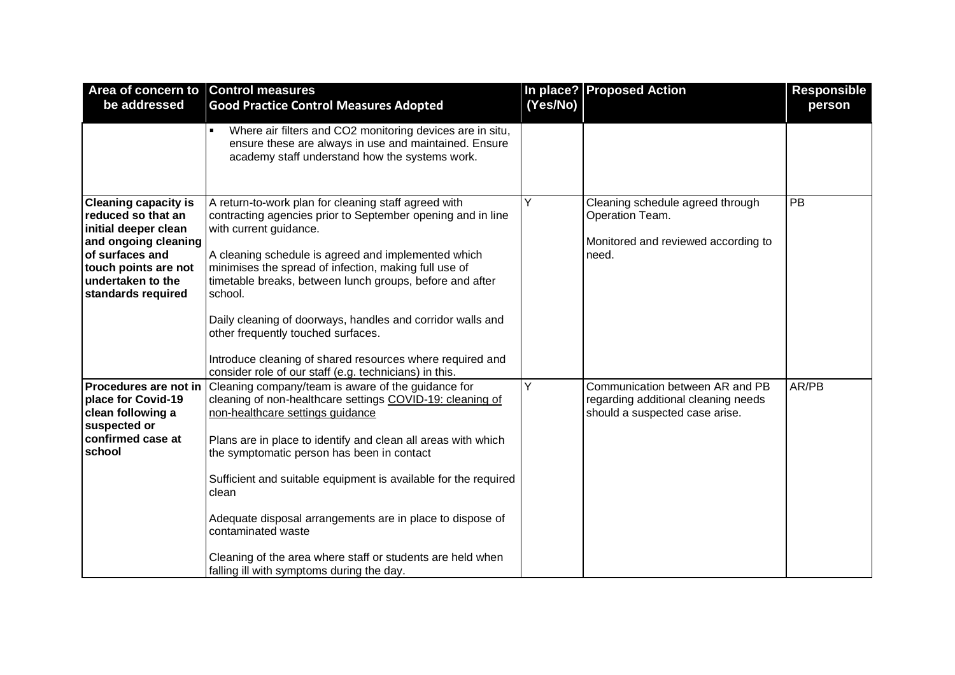| Area of concern to Control measures<br>be addressed                                                                                                                                     |                                                                                                                                                                                                                                                                                                                                                                                                                                                                                                                                                                           | (Yes/No) | In place? Proposed Action                                                                                | <b>Responsible</b> |
|-----------------------------------------------------------------------------------------------------------------------------------------------------------------------------------------|---------------------------------------------------------------------------------------------------------------------------------------------------------------------------------------------------------------------------------------------------------------------------------------------------------------------------------------------------------------------------------------------------------------------------------------------------------------------------------------------------------------------------------------------------------------------------|----------|----------------------------------------------------------------------------------------------------------|--------------------|
|                                                                                                                                                                                         | <b>Good Practice Control Measures Adopted</b>                                                                                                                                                                                                                                                                                                                                                                                                                                                                                                                             |          |                                                                                                          | person             |
|                                                                                                                                                                                         | Where air filters and CO2 monitoring devices are in situ,<br>$\blacksquare$<br>ensure these are always in use and maintained. Ensure<br>academy staff understand how the systems work.                                                                                                                                                                                                                                                                                                                                                                                    |          |                                                                                                          |                    |
| <b>Cleaning capacity is</b><br>reduced so that an<br>initial deeper clean<br>and ongoing cleaning<br>of surfaces and<br>touch points are not<br>undertaken to the<br>standards required | A return-to-work plan for cleaning staff agreed with<br>contracting agencies prior to September opening and in line<br>with current guidance.<br>A cleaning schedule is agreed and implemented which<br>minimises the spread of infection, making full use of<br>timetable breaks, between lunch groups, before and after<br>school.<br>Daily cleaning of doorways, handles and corridor walls and<br>other frequently touched surfaces.<br>Introduce cleaning of shared resources where required and<br>consider role of our staff (e.g. technicians) in this.           | Υ        | Cleaning schedule agreed through<br>Operation Team.<br>Monitored and reviewed according to<br>need.      | PB                 |
| place for Covid-19<br>clean following a<br>suspected or<br>confirmed case at<br>school                                                                                                  | <b>Procedures are not in Cleaning company/team is aware of the guidance for</b><br>cleaning of non-healthcare settings COVID-19: cleaning of<br>non-healthcare settings guidance<br>Plans are in place to identify and clean all areas with which<br>the symptomatic person has been in contact<br>Sufficient and suitable equipment is available for the required<br>clean<br>Adequate disposal arrangements are in place to dispose of<br>contaminated waste<br>Cleaning of the area where staff or students are held when<br>falling ill with symptoms during the day. | Y        | Communication between AR and PB<br>regarding additional cleaning needs<br>should a suspected case arise. | AR/PB              |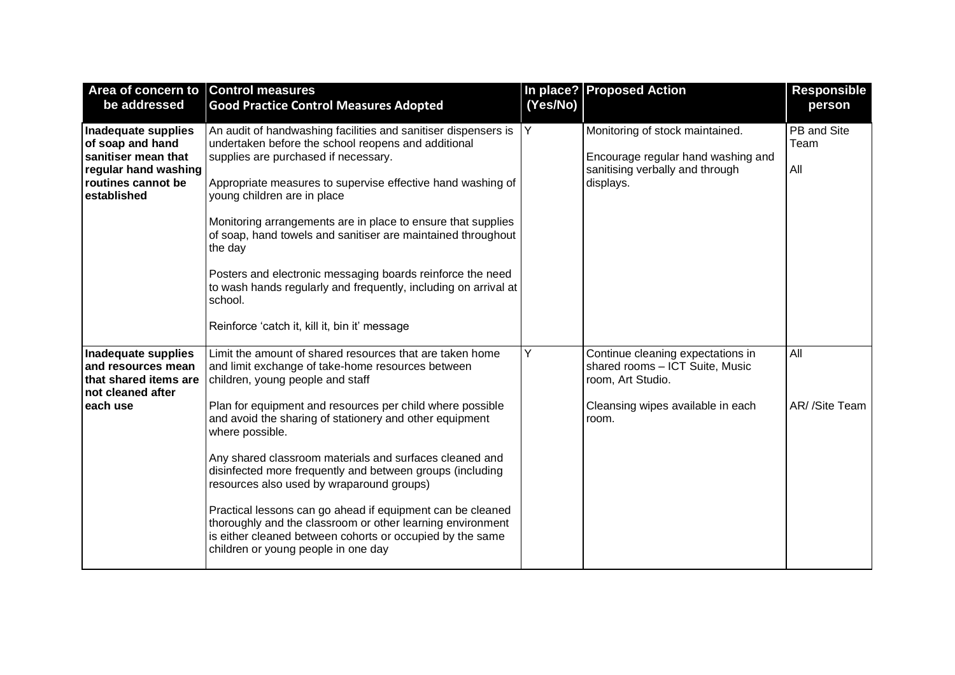| Area of concern to Control measures<br>be addressed                                                                         | <b>Good Practice Control Measures Adopted</b>                                                                                                                                                                                                                                                                                                                                                                                                                                                                                                                                                                                                                                                     | (Yes/No)       | In place? Proposed Action                                                                                                               | <b>Responsible</b><br>person |
|-----------------------------------------------------------------------------------------------------------------------------|---------------------------------------------------------------------------------------------------------------------------------------------------------------------------------------------------------------------------------------------------------------------------------------------------------------------------------------------------------------------------------------------------------------------------------------------------------------------------------------------------------------------------------------------------------------------------------------------------------------------------------------------------------------------------------------------------|----------------|-----------------------------------------------------------------------------------------------------------------------------------------|------------------------------|
| Inadequate supplies<br>of soap and hand<br>sanitiser mean that<br>regular hand washing<br>routines cannot be<br>established | An audit of handwashing facilities and sanitiser dispensers is<br>undertaken before the school reopens and additional<br>supplies are purchased if necessary.<br>Appropriate measures to supervise effective hand washing of<br>young children are in place<br>Monitoring arrangements are in place to ensure that supplies<br>of soap, hand towels and sanitiser are maintained throughout<br>the day<br>Posters and electronic messaging boards reinforce the need<br>to wash hands regularly and frequently, including on arrival at<br>school.<br>Reinforce 'catch it, kill it, bin it' message                                                                                               | $\overline{Y}$ | Monitoring of stock maintained.<br>Encourage regular hand washing and<br>sanitising verbally and through<br>displays.                   | PB and Site<br>Team<br>All   |
| Inadequate supplies<br>and resources mean<br>that shared items are<br>not cleaned after<br>each use                         | Limit the amount of shared resources that are taken home<br>and limit exchange of take-home resources between<br>children, young people and staff<br>Plan for equipment and resources per child where possible<br>and avoid the sharing of stationery and other equipment<br>where possible.<br>Any shared classroom materials and surfaces cleaned and<br>disinfected more frequently and between groups (including<br>resources also used by wraparound groups)<br>Practical lessons can go ahead if equipment can be cleaned<br>thoroughly and the classroom or other learning environment<br>is either cleaned between cohorts or occupied by the same<br>children or young people in one day | Y              | Continue cleaning expectations in<br>shared rooms - ICT Suite, Music<br>room, Art Studio.<br>Cleansing wipes available in each<br>room. | All<br>AR/ /Site Team        |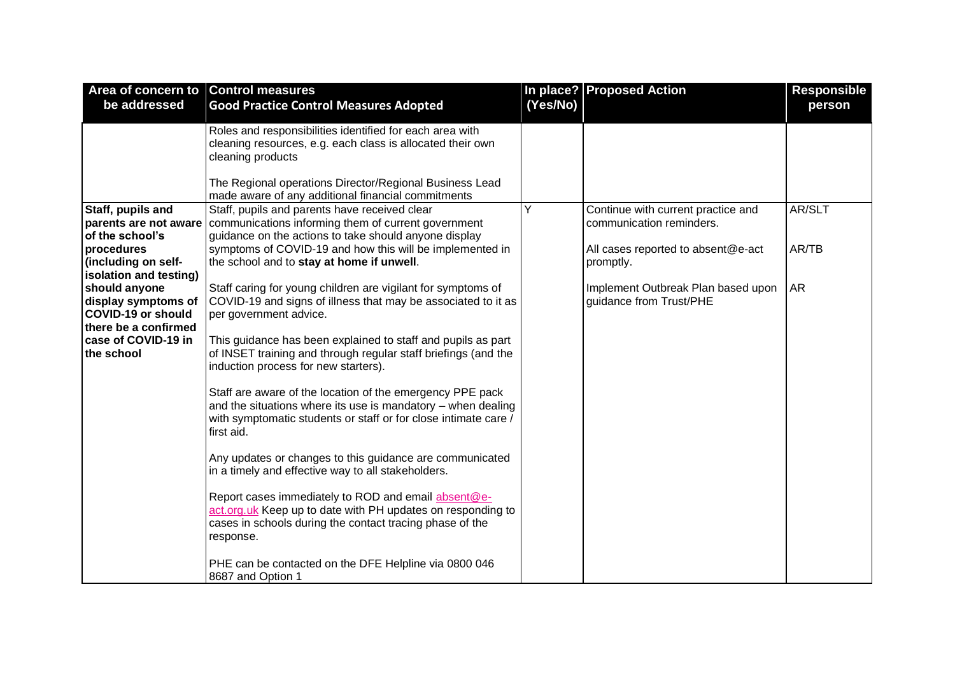| be addressed                                                                                                                                                                                                                                                                 | <b>Good Practice Control Measures Adopted</b>                                                                                                                                                                                                                                                                                                                                                                                                                                                                                                                                                                                                                                                                                                                                                                                                                                                                                 | (Yes/No) |                                                                                                                                                                                    |                              |
|------------------------------------------------------------------------------------------------------------------------------------------------------------------------------------------------------------------------------------------------------------------------------|-------------------------------------------------------------------------------------------------------------------------------------------------------------------------------------------------------------------------------------------------------------------------------------------------------------------------------------------------------------------------------------------------------------------------------------------------------------------------------------------------------------------------------------------------------------------------------------------------------------------------------------------------------------------------------------------------------------------------------------------------------------------------------------------------------------------------------------------------------------------------------------------------------------------------------|----------|------------------------------------------------------------------------------------------------------------------------------------------------------------------------------------|------------------------------|
|                                                                                                                                                                                                                                                                              |                                                                                                                                                                                                                                                                                                                                                                                                                                                                                                                                                                                                                                                                                                                                                                                                                                                                                                                               |          |                                                                                                                                                                                    | person                       |
|                                                                                                                                                                                                                                                                              | Roles and responsibilities identified for each area with<br>cleaning resources, e.g. each class is allocated their own<br>cleaning products                                                                                                                                                                                                                                                                                                                                                                                                                                                                                                                                                                                                                                                                                                                                                                                   |          |                                                                                                                                                                                    |                              |
|                                                                                                                                                                                                                                                                              | The Regional operations Director/Regional Business Lead<br>made aware of any additional financial commitments                                                                                                                                                                                                                                                                                                                                                                                                                                                                                                                                                                                                                                                                                                                                                                                                                 |          |                                                                                                                                                                                    |                              |
| Staff, pupils and<br>parents are not aware<br>of the school's<br>procedures<br>(including on self-<br>isolation and testing)<br>should anyone<br>display symptoms of<br><b>COVID-19 or should</b><br>there be a confirmed<br>case of COVID-19 in<br>the school<br>first aid. | Staff, pupils and parents have received clear<br>communications informing them of current government<br>guidance on the actions to take should anyone display<br>symptoms of COVID-19 and how this will be implemented in<br>the school and to stay at home if unwell.<br>Staff caring for young children are vigilant for symptoms of<br>COVID-19 and signs of illness that may be associated to it as<br>per government advice.<br>This guidance has been explained to staff and pupils as part<br>of INSET training and through regular staff briefings (and the<br>induction process for new starters).<br>Staff are aware of the location of the emergency PPE pack<br>and the situations where its use is mandatory - when dealing<br>with symptomatic students or staff or for close intimate care /<br>Any updates or changes to this guidance are communicated<br>in a timely and effective way to all stakeholders. | Y        | Continue with current practice and<br>communication reminders.<br>All cases reported to absent@e-act<br>promptly.<br>Implement Outbreak Plan based upon<br>guidance from Trust/PHE | AR/SLT<br>AR/TB<br><b>AR</b> |
|                                                                                                                                                                                                                                                                              | Report cases immediately to ROD and email absent@e-<br>act.org.uk Keep up to date with PH updates on responding to<br>cases in schools during the contact tracing phase of the<br>response.<br>PHE can be contacted on the DFE Helpline via 0800 046                                                                                                                                                                                                                                                                                                                                                                                                                                                                                                                                                                                                                                                                          |          |                                                                                                                                                                                    |                              |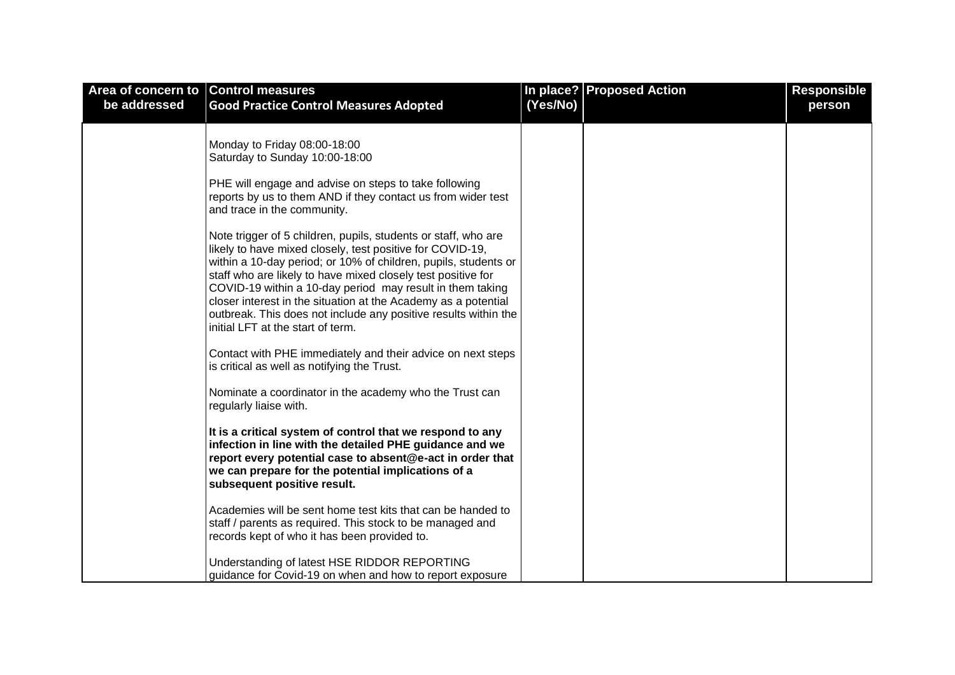| Area of concern to Control measures |                                                                                                                                   |          | In place? Proposed Action | <b>Responsible</b> |
|-------------------------------------|-----------------------------------------------------------------------------------------------------------------------------------|----------|---------------------------|--------------------|
| be addressed                        | <b>Good Practice Control Measures Adopted</b>                                                                                     | (Yes/No) |                           | person             |
|                                     |                                                                                                                                   |          |                           |                    |
|                                     | Monday to Friday 08:00-18:00                                                                                                      |          |                           |                    |
|                                     | Saturday to Sunday 10:00-18:00                                                                                                    |          |                           |                    |
|                                     | PHE will engage and advise on steps to take following                                                                             |          |                           |                    |
|                                     | reports by us to them AND if they contact us from wider test                                                                      |          |                           |                    |
|                                     | and trace in the community.                                                                                                       |          |                           |                    |
|                                     | Note trigger of 5 children, pupils, students or staff, who are                                                                    |          |                           |                    |
|                                     | likely to have mixed closely, test positive for COVID-19,                                                                         |          |                           |                    |
|                                     | within a 10-day period; or 10% of children, pupils, students or<br>staff who are likely to have mixed closely test positive for   |          |                           |                    |
|                                     | COVID-19 within a 10-day period may result in them taking                                                                         |          |                           |                    |
|                                     | closer interest in the situation at the Academy as a potential<br>outbreak. This does not include any positive results within the |          |                           |                    |
|                                     | initial LFT at the start of term.                                                                                                 |          |                           |                    |
|                                     |                                                                                                                                   |          |                           |                    |
|                                     | Contact with PHE immediately and their advice on next steps<br>is critical as well as notifying the Trust.                        |          |                           |                    |
|                                     |                                                                                                                                   |          |                           |                    |
|                                     | Nominate a coordinator in the academy who the Trust can<br>regularly liaise with.                                                 |          |                           |                    |
|                                     |                                                                                                                                   |          |                           |                    |
|                                     | It is a critical system of control that we respond to any<br>infection in line with the detailed PHE guidance and we              |          |                           |                    |
|                                     | report every potential case to absent@e-act in order that                                                                         |          |                           |                    |
|                                     | we can prepare for the potential implications of a                                                                                |          |                           |                    |
|                                     | subsequent positive result.                                                                                                       |          |                           |                    |
|                                     | Academies will be sent home test kits that can be handed to                                                                       |          |                           |                    |
|                                     | staff / parents as required. This stock to be managed and<br>records kept of who it has been provided to.                         |          |                           |                    |
|                                     |                                                                                                                                   |          |                           |                    |
|                                     | Understanding of latest HSE RIDDOR REPORTING                                                                                      |          |                           |                    |
|                                     | guidance for Covid-19 on when and how to report exposure                                                                          |          |                           |                    |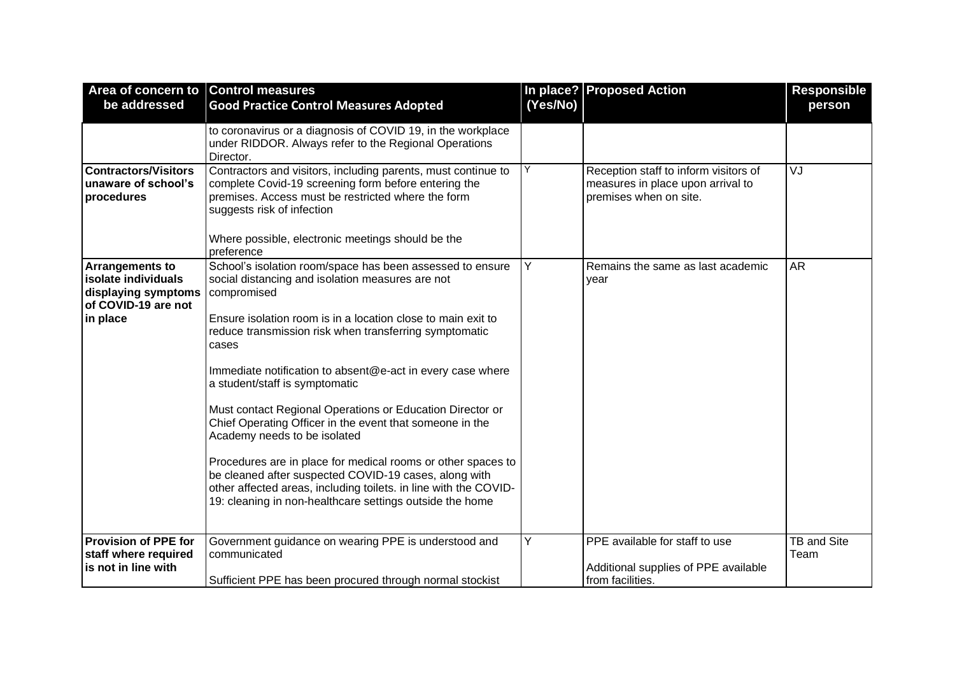| Area of concern to Control measures                                                                     |                                                                                                                                                                                                                                                                                                                                                                                                                                                                                                                                                                                                                                                                                                                                                                                   |          | In place? Proposed Action                                                                            | <b>Responsible</b>         |
|---------------------------------------------------------------------------------------------------------|-----------------------------------------------------------------------------------------------------------------------------------------------------------------------------------------------------------------------------------------------------------------------------------------------------------------------------------------------------------------------------------------------------------------------------------------------------------------------------------------------------------------------------------------------------------------------------------------------------------------------------------------------------------------------------------------------------------------------------------------------------------------------------------|----------|------------------------------------------------------------------------------------------------------|----------------------------|
| be addressed                                                                                            | <b>Good Practice Control Measures Adopted</b>                                                                                                                                                                                                                                                                                                                                                                                                                                                                                                                                                                                                                                                                                                                                     | (Yes/No) |                                                                                                      | person                     |
|                                                                                                         | to coronavirus or a diagnosis of COVID 19, in the workplace<br>under RIDDOR. Always refer to the Regional Operations<br>Director.                                                                                                                                                                                                                                                                                                                                                                                                                                                                                                                                                                                                                                                 |          |                                                                                                      |                            |
| <b>Contractors/Visitors</b><br>unaware of school's<br>procedures                                        | Contractors and visitors, including parents, must continue to<br>complete Covid-19 screening form before entering the<br>premises. Access must be restricted where the form<br>suggests risk of infection<br>Where possible, electronic meetings should be the<br>preference                                                                                                                                                                                                                                                                                                                                                                                                                                                                                                      | Y        | Reception staff to inform visitors of<br>measures in place upon arrival to<br>premises when on site. | VJ                         |
| <b>Arrangements to</b><br>isolate individuals<br>displaying symptoms<br>of COVID-19 are not<br>in place | School's isolation room/space has been assessed to ensure<br>social distancing and isolation measures are not<br>compromised<br>Ensure isolation room is in a location close to main exit to<br>reduce transmission risk when transferring symptomatic<br>cases<br>Immediate notification to absent@e-act in every case where<br>a student/staff is symptomatic<br>Must contact Regional Operations or Education Director or<br>Chief Operating Officer in the event that someone in the<br>Academy needs to be isolated<br>Procedures are in place for medical rooms or other spaces to<br>be cleaned after suspected COVID-19 cases, along with<br>other affected areas, including toilets. in line with the COVID-<br>19: cleaning in non-healthcare settings outside the home | Y        | Remains the same as last academic<br>year                                                            | <b>AR</b>                  |
| <b>Provision of PPE for</b><br>staff where required<br>is not in line with                              | Government guidance on wearing PPE is understood and<br>communicated<br>Sufficient PPE has been procured through normal stockist                                                                                                                                                                                                                                                                                                                                                                                                                                                                                                                                                                                                                                                  | Y        | PPE available for staff to use<br>Additional supplies of PPE available<br>from facilities.           | <b>TB and Site</b><br>Team |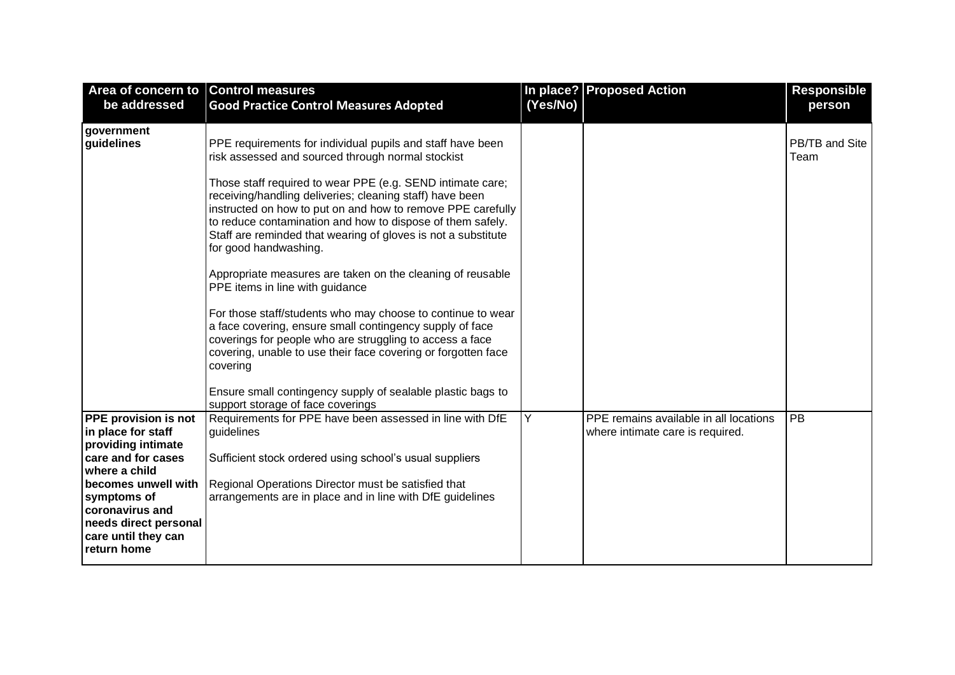| Area of concern to Control measures<br>be addressed                                                                                                                                                                                    | <b>Good Practice Control Measures Adopted</b>                                                                                                                                                                                                                                                                                                                                                                                                                                                                                                                                                                                                                                                                                                                                                                                                                                                                                             | (Yes/No) | In place? Proposed Action                                                  | <b>Responsible</b><br>person |
|----------------------------------------------------------------------------------------------------------------------------------------------------------------------------------------------------------------------------------------|-------------------------------------------------------------------------------------------------------------------------------------------------------------------------------------------------------------------------------------------------------------------------------------------------------------------------------------------------------------------------------------------------------------------------------------------------------------------------------------------------------------------------------------------------------------------------------------------------------------------------------------------------------------------------------------------------------------------------------------------------------------------------------------------------------------------------------------------------------------------------------------------------------------------------------------------|----------|----------------------------------------------------------------------------|------------------------------|
| government<br>guidelines                                                                                                                                                                                                               | PPE requirements for individual pupils and staff have been<br>risk assessed and sourced through normal stockist<br>Those staff required to wear PPE (e.g. SEND intimate care;<br>receiving/handling deliveries; cleaning staff) have been<br>instructed on how to put on and how to remove PPE carefully<br>to reduce contamination and how to dispose of them safely.<br>Staff are reminded that wearing of gloves is not a substitute<br>for good handwashing.<br>Appropriate measures are taken on the cleaning of reusable<br>PPE items in line with guidance<br>For those staff/students who may choose to continue to wear<br>a face covering, ensure small contingency supply of face<br>coverings for people who are struggling to access a face<br>covering, unable to use their face covering or forgotten face<br>covering<br>Ensure small contingency supply of sealable plastic bags to<br>support storage of face coverings |          |                                                                            | PB/TB and Site<br>Team       |
| <b>PPE provision is not</b><br>in place for staff<br>providing intimate<br>care and for cases<br>where a child<br>becomes unwell with<br>symptoms of<br>coronavirus and<br>needs direct personal<br>care until they can<br>return home | Requirements for PPE have been assessed in line with DfE<br>guidelines<br>Sufficient stock ordered using school's usual suppliers<br>Regional Operations Director must be satisfied that<br>arrangements are in place and in line with DfE guidelines                                                                                                                                                                                                                                                                                                                                                                                                                                                                                                                                                                                                                                                                                     | Y        | PPE remains available in all locations<br>where intimate care is required. | <b>PB</b>                    |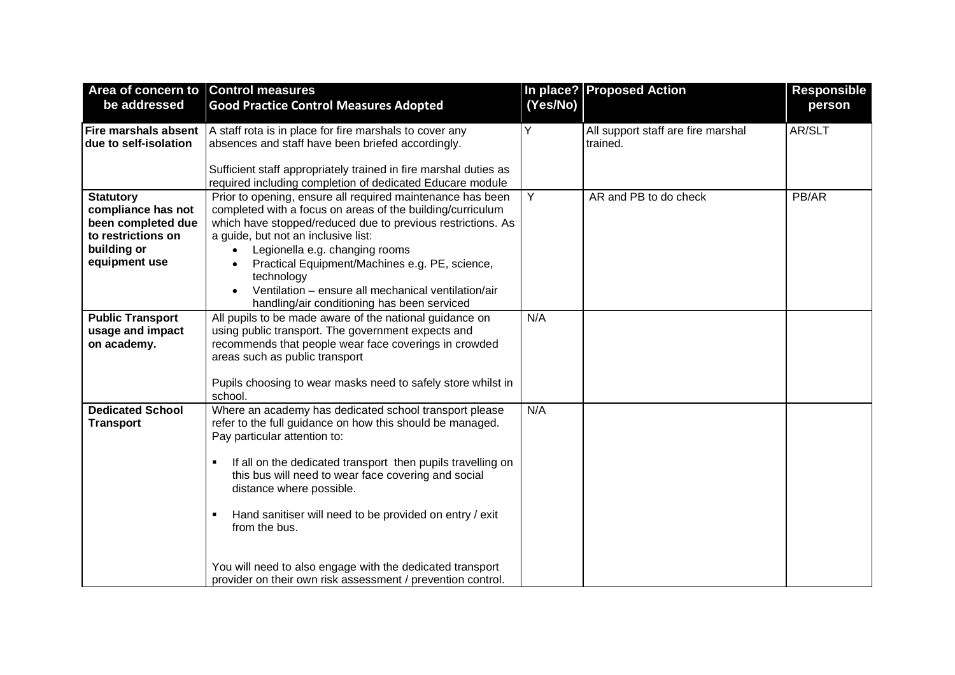| Area of concern to Control measures |                                                                                                              |          | In place? Proposed Action                      | <b>Responsible</b> |
|-------------------------------------|--------------------------------------------------------------------------------------------------------------|----------|------------------------------------------------|--------------------|
| be addressed                        | <b>Good Practice Control Measures Adopted</b>                                                                | (Yes/No) |                                                | person             |
| <b>Fire marshals absent</b>         |                                                                                                              | Y        |                                                | AR/SLT             |
| due to self-isolation               | A staff rota is in place for fire marshals to cover any<br>absences and staff have been briefed accordingly. |          | All support staff are fire marshal<br>trained. |                    |
|                                     |                                                                                                              |          |                                                |                    |
|                                     | Sufficient staff appropriately trained in fire marshal duties as                                             |          |                                                |                    |
|                                     | required including completion of dedicated Educare module                                                    |          |                                                |                    |
| <b>Statutory</b>                    | Prior to opening, ensure all required maintenance has been                                                   | Y        | AR and PB to do check                          | PB/AR              |
| compliance has not                  | completed with a focus on areas of the building/curriculum                                                   |          |                                                |                    |
| been completed due                  | which have stopped/reduced due to previous restrictions. As                                                  |          |                                                |                    |
| to restrictions on                  | a guide, but not an inclusive list:                                                                          |          |                                                |                    |
| building or                         | Legionella e.g. changing rooms                                                                               |          |                                                |                    |
| equipment use                       | Practical Equipment/Machines e.g. PE, science,                                                               |          |                                                |                    |
|                                     | technology                                                                                                   |          |                                                |                    |
|                                     | Ventilation - ensure all mechanical ventilation/air                                                          |          |                                                |                    |
|                                     | handling/air conditioning has been serviced                                                                  | N/A      |                                                |                    |
| <b>Public Transport</b>             | All pupils to be made aware of the national guidance on                                                      |          |                                                |                    |
| usage and impact<br>on academy.     | using public transport. The government expects and<br>recommends that people wear face coverings in crowded  |          |                                                |                    |
|                                     | areas such as public transport                                                                               |          |                                                |                    |
|                                     |                                                                                                              |          |                                                |                    |
|                                     | Pupils choosing to wear masks need to safely store whilst in                                                 |          |                                                |                    |
|                                     | school.                                                                                                      |          |                                                |                    |
| <b>Dedicated School</b>             | Where an academy has dedicated school transport please                                                       | N/A      |                                                |                    |
| <b>Transport</b>                    | refer to the full guidance on how this should be managed.                                                    |          |                                                |                    |
|                                     | Pay particular attention to:                                                                                 |          |                                                |                    |
|                                     |                                                                                                              |          |                                                |                    |
|                                     | If all on the dedicated transport then pupils travelling on<br>$\blacksquare$                                |          |                                                |                    |
|                                     | this bus will need to wear face covering and social<br>distance where possible.                              |          |                                                |                    |
|                                     |                                                                                                              |          |                                                |                    |
|                                     | Hand sanitiser will need to be provided on entry / exit<br>٠                                                 |          |                                                |                    |
|                                     | from the bus.                                                                                                |          |                                                |                    |
|                                     |                                                                                                              |          |                                                |                    |
|                                     |                                                                                                              |          |                                                |                    |
|                                     | You will need to also engage with the dedicated transport                                                    |          |                                                |                    |
|                                     | provider on their own risk assessment / prevention control.                                                  |          |                                                |                    |